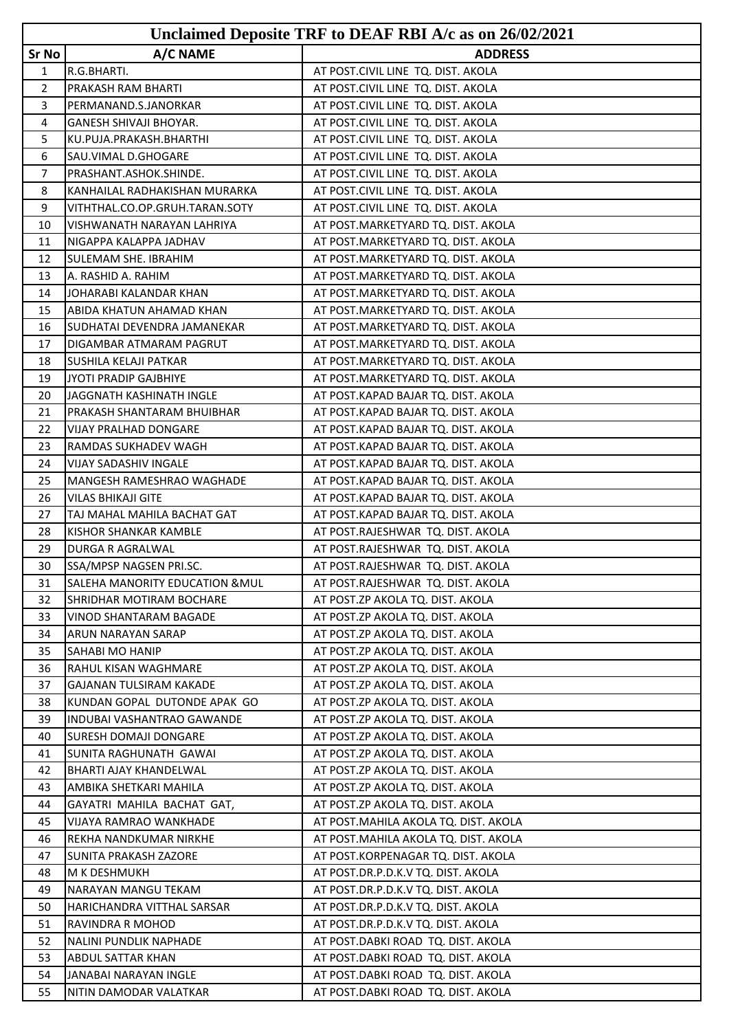|              |                                                    | Unclaimed Deposite TRF to DEAF RBI A/c as on 26/02/2021                  |
|--------------|----------------------------------------------------|--------------------------------------------------------------------------|
| Sr No        | A/C NAME                                           | <b>ADDRESS</b>                                                           |
| $\mathbf{1}$ | R.G.BHARTI.                                        | AT POST.CIVIL LINE TQ. DIST. AKOLA                                       |
| 2            | <b>PRAKASH RAM BHARTI</b>                          | AT POST.CIVIL LINE TQ. DIST. AKOLA                                       |
| 3            | PERMANAND.S.JANORKAR                               | AT POST.CIVIL LINE TQ. DIST. AKOLA                                       |
| 4            | <b>GANESH SHIVAJI BHOYAR.</b>                      | AT POST.CIVIL LINE TQ. DIST. AKOLA                                       |
| 5            | KU.PUJA.PRAKASH.BHARTHI                            | AT POST.CIVIL LINE TQ. DIST. AKOLA                                       |
| 6            | SAU.VIMAL D.GHOGARE                                | AT POST.CIVIL LINE TQ. DIST. AKOLA                                       |
| 7            | PRASHANT.ASHOK.SHINDE.                             | AT POST.CIVIL LINE TQ. DIST. AKOLA                                       |
| 8            | KANHAILAL RADHAKISHAN MURARKA                      | AT POST.CIVIL LINE TQ. DIST. AKOLA                                       |
| 9            | VITHTHAL.CO.OP.GRUH.TARAN.SOTY                     | AT POST.CIVIL LINE TQ. DIST. AKOLA                                       |
| 10           | VISHWANATH NARAYAN LAHRIYA                         | AT POST.MARKETYARD TQ. DIST. AKOLA                                       |
| 11           | INIGAPPA KALAPPA JADHAV                            | AT POST.MARKETYARD TQ. DIST. AKOLA                                       |
| 12           | <b>SULEMAM SHE. IBRAHIM</b>                        | AT POST.MARKETYARD TQ. DIST. AKOLA                                       |
| 13           | A. RASHID A. RAHIM                                 | AT POST.MARKETYARD TQ. DIST. AKOLA                                       |
| 14           | JOHARABI KALANDAR KHAN                             | AT POST.MARKETYARD TQ. DIST. AKOLA                                       |
| 15           | ABIDA KHATUN AHAMAD KHAN                           | AT POST.MARKETYARD TQ. DIST. AKOLA                                       |
| 16           | SUDHATAI DEVENDRA JAMANEKAR                        | AT POST.MARKETYARD TQ. DIST. AKOLA                                       |
| 17           | DIGAMBAR ATMARAM PAGRUT                            | AT POST.MARKETYARD TQ. DIST. AKOLA                                       |
| 18           | <b>I</b> SUSHILA KELAJI PATKAR                     | AT POST.MARKETYARD TQ. DIST. AKOLA                                       |
| 19           | JYOTI PRADIP GAJBHIYE                              | AT POST.MARKETYARD TQ. DIST. AKOLA                                       |
| 20           | JAGGNATH KASHINATH INGLE                           | AT POST.KAPAD BAJAR TQ. DIST. AKOLA                                      |
| 21           | PRAKASH SHANTARAM BHUIBHAR                         | AT POST.KAPAD BAJAR TQ. DIST. AKOLA                                      |
| 22           | VIJAY PRALHAD DONGARE                              | AT POST.KAPAD BAJAR TQ. DIST. AKOLA                                      |
| 23           | RAMDAS SUKHADEV WAGH                               | AT POST.KAPAD BAJAR TQ. DIST. AKOLA                                      |
| 24           | VIJAY SADASHIV INGALE                              | AT POST.KAPAD BAJAR TQ. DIST. AKOLA                                      |
| 25           | MANGESH RAMESHRAO WAGHADE                          | AT POST.KAPAD BAJAR TQ. DIST. AKOLA                                      |
| 26           | VILAS BHIKAJI GITE                                 | AT POST.KAPAD BAJAR TQ. DIST. AKOLA                                      |
| 27           | TAJ MAHAL MAHILA BACHAT GAT                        | AT POST.KAPAD BAJAR TQ. DIST. AKOLA                                      |
| 28           | KISHOR SHANKAR KAMBLE                              | AT POST.RAJESHWAR TQ. DIST. AKOLA                                        |
| 29           | <b>DURGA R AGRALWAL</b>                            | AT POST.RAJESHWAR TQ. DIST. AKOLA                                        |
| 30           | SSA/MPSP NAGSEN PRI.SC.                            | AT POST.RAJESHWAR TQ. DIST. AKOLA                                        |
| 31           | SALEHA MANORITY EDUCATION & MUL                    | AT POST.RAJESHWAR TQ. DIST. AKOLA                                        |
| 32           | SHRIDHAR MOTIRAM BOCHARE                           | AT POST.ZP AKOLA TQ. DIST. AKOLA                                         |
| 33           | VINOD SHANTARAM BAGADE                             | AT POST.ZP AKOLA TQ. DIST. AKOLA                                         |
| 34           | <b>ARUN NARAYAN SARAP</b>                          | AT POST.ZP AKOLA TQ. DIST. AKOLA                                         |
| 35           | <b>SAHABI MO HANIP</b>                             | AT POST.ZP AKOLA TQ. DIST. AKOLA                                         |
| 36           | RAHUL KISAN WAGHMARE                               | AT POST.ZP AKOLA TQ. DIST. AKOLA                                         |
| 37           | <b>GAJANAN TULSIRAM KAKADE</b>                     | AT POST.ZP AKOLA TQ. DIST. AKOLA                                         |
| 38           | KUNDAN GOPAL DUTONDE APAK GO                       | AT POST.ZP AKOLA TQ. DIST. AKOLA                                         |
| 39           | INDUBAI VASHANTRAO GAWANDE                         | AT POST.ZP AKOLA TQ. DIST. AKOLA                                         |
| 40           | <b>SURESH DOMAJI DONGARE</b>                       | AT POST.ZP AKOLA TQ. DIST. AKOLA                                         |
| 41           | SUNITA RAGHUNATH GAWAI                             | AT POST.ZP AKOLA TQ. DIST. AKOLA                                         |
| 42           | <b>BHARTI AJAY KHANDELWAL</b>                      | AT POST.ZP AKOLA TQ. DIST. AKOLA                                         |
| 43           | AMBIKA SHETKARI MAHILA                             | AT POST.ZP AKOLA TQ. DIST. AKOLA                                         |
| 44           | GAYATRI MAHILA BACHAT GAT,                         | AT POST.ZP AKOLA TQ. DIST. AKOLA                                         |
| 45           | VIJAYA RAMRAO WANKHADE                             | AT POST.MAHILA AKOLA TQ. DIST. AKOLA                                     |
| 46           | REKHA NANDKUMAR NIRKHE                             | AT POST.MAHILA AKOLA TQ. DIST. AKOLA                                     |
| 47           | SUNITA PRAKASH ZAZORE                              | AT POST.KORPENAGAR TQ. DIST. AKOLA                                       |
| 48           | M K DESHMUKH                                       | AT POST.DR.P.D.K.V TQ. DIST. AKOLA                                       |
| 49           | NARAYAN MANGU TEKAM                                | AT POST.DR.P.D.K.V TQ. DIST. AKOLA                                       |
| 50<br>51     | HARICHANDRA VITTHAL SARSAR                         | AT POST.DR.P.D.K.V TQ. DIST. AKOLA                                       |
| 52           | RAVINDRA R MOHOD                                   | AT POST.DR.P.D.K.V TQ. DIST. AKOLA                                       |
| 53           | NALINI PUNDLIK NAPHADE<br><b>ABDUL SATTAR KHAN</b> | AT POST.DABKI ROAD TQ. DIST. AKOLA<br>AT POST.DABKI ROAD TQ. DIST. AKOLA |
| 54           | JANABAI NARAYAN INGLE                              | AT POST.DABKI ROAD TQ. DIST. AKOLA                                       |
| 55           | NITIN DAMODAR VALATKAR                             | AT POST.DABKI ROAD TQ. DIST. AKOLA                                       |
|              |                                                    |                                                                          |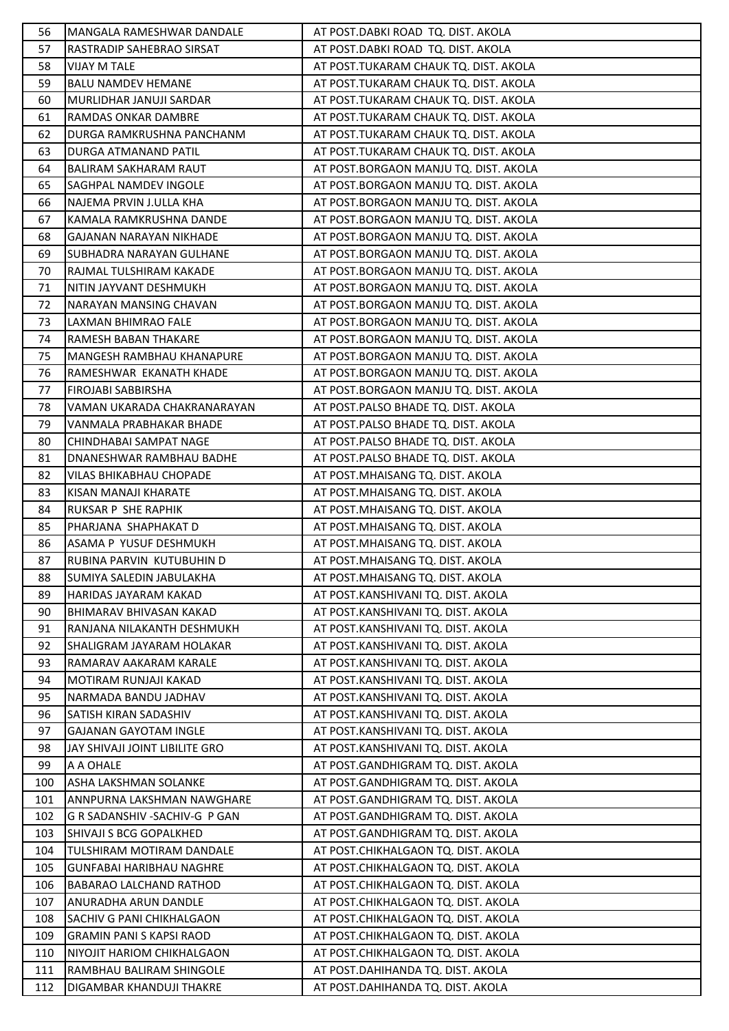| 56         | MANGALA RAMESHWAR DANDALE                                     | AT POST.DABKI ROAD TQ. DIST. AKOLA                                         |
|------------|---------------------------------------------------------------|----------------------------------------------------------------------------|
| 57         | RASTRADIP SAHEBRAO SIRSAT                                     | AT POST.DABKI ROAD TQ. DIST. AKOLA                                         |
| 58         | <b>VIJAY M TALE</b>                                           | AT POST.TUKARAM CHAUK TQ. DIST. AKOLA                                      |
| 59         | <b>BALU NAMDEV HEMANE</b>                                     | AT POST.TUKARAM CHAUK TQ. DIST. AKOLA                                      |
| 60         | MURLIDHAR JANUJI SARDAR                                       | AT POST.TUKARAM CHAUK TQ. DIST. AKOLA                                      |
| 61         | <b>RAMDAS ONKAR DAMBRE</b>                                    | AT POST.TUKARAM CHAUK TQ. DIST. AKOLA                                      |
| 62         | DURGA RAMKRUSHNA PANCHANM                                     | AT POST.TUKARAM CHAUK TQ. DIST. AKOLA                                      |
| 63         | DURGA ATMANAND PATIL                                          | AT POST.TUKARAM CHAUK TQ. DIST. AKOLA                                      |
| 64         | BALIRAM SAKHARAM RAUT                                         | AT POST.BORGAON MANJU TQ. DIST. AKOLA                                      |
| 65         | SAGHPAL NAMDEV INGOLE                                         | AT POST.BORGAON MANJU TQ. DIST. AKOLA                                      |
| 66         | NAJEMA PRVIN J.ULLA KHA                                       | AT POST.BORGAON MANJU TQ. DIST. AKOLA                                      |
| 67         | KAMALA RAMKRUSHNA DANDE                                       | AT POST.BORGAON MANJU TQ. DIST. AKOLA                                      |
| 68         | GAJANAN NARAYAN NIKHADE                                       | AT POST.BORGAON MANJU TQ. DIST. AKOLA                                      |
| 69         | SUBHADRA NARAYAN GULHANE                                      | AT POST.BORGAON MANJU TQ. DIST. AKOLA                                      |
| 70         | RAJMAL TULSHIRAM KAKADE                                       | AT POST.BORGAON MANJU TQ. DIST. AKOLA                                      |
| 71         | NITIN JAYVANT DESHMUKH                                        | AT POST.BORGAON MANJU TQ. DIST. AKOLA                                      |
| 72         | NARAYAN MANSING CHAVAN                                        | AT POST.BORGAON MANJU TQ. DIST. AKOLA                                      |
| 73         | LAXMAN BHIMRAO FALE                                           | AT POST.BORGAON MANJU TQ. DIST. AKOLA                                      |
| 74         | <b>RAMESH BABAN THAKARE</b>                                   | AT POST.BORGAON MANJU TQ. DIST. AKOLA                                      |
| 75         | MANGESH RAMBHAU KHANAPURE                                     | AT POST.BORGAON MANJU TQ. DIST. AKOLA                                      |
| 76         | RAMESHWAR EKANATH KHADE                                       | AT POST.BORGAON MANJU TQ. DIST. AKOLA                                      |
| 77         | <b>FIROJABI SABBIRSHA</b>                                     | AT POST.BORGAON MANJU TQ. DIST. AKOLA                                      |
| 78         | VAMAN UKARADA CHAKRANARAYAN                                   | AT POST.PALSO BHADE TQ. DIST. AKOLA                                        |
| 79         | VANMALA PRABHAKAR BHADE                                       | AT POST.PALSO BHADE TQ. DIST. AKOLA                                        |
| 80         | CHINDHABAI SAMPAT NAGE                                        | AT POST.PALSO BHADE TQ. DIST. AKOLA                                        |
| 81         | <b>DNANESHWAR RAMBHAU BADHE</b>                               | AT POST.PALSO BHADE TQ. DIST. AKOLA                                        |
| 82         | <b>VILAS BHIKABHAU CHOPADE</b>                                | AT POST.MHAISANG TQ. DIST. AKOLA                                           |
| 83         | KISAN MANAJI KHARATE                                          | AT POST.MHAISANG TQ. DIST. AKOLA                                           |
| 84         | <b>RUKSAR P SHE RAPHIK</b>                                    | AT POST.MHAISANG TQ. DIST. AKOLA                                           |
| 85         | PHARJANA SHAPHAKAT D                                          | AT POST.MHAISANG TQ. DIST. AKOLA                                           |
| 86         | ASAMA P YUSUF DESHMUKH                                        | AT POST.MHAISANG TQ. DIST. AKOLA                                           |
| 87         | RUBINA PARVIN KUTUBUHIN D                                     | AT POST.MHAISANG TQ. DIST. AKOLA                                           |
| 88         | SUMIYA SALEDIN JABULAKHA                                      | AT POST.MHAISANG TQ. DIST. AKOLA                                           |
| 89         | HARIDAS JAYARAM KAKAD                                         | AT POST.KANSHIVANI TQ. DIST. AKOLA                                         |
| 90         | BHIMARAV BHIVASAN KAKAD                                       | AT POST.KANSHIVANI TQ. DIST. AKOLA                                         |
| 91         | RANJANA NILAKANTH DESHMUKH                                    | AT POST.KANSHIVANI TQ. DIST. AKOLA                                         |
| 92         | SHALIGRAM JAYARAM HOLAKAR                                     | AT POST.KANSHIVANI TQ. DIST. AKOLA                                         |
| 93         | <b>RAMARAV AAKARAM KARALE</b>                                 | AT POST.KANSHIVANI TQ. DIST. AKOLA                                         |
| 94         | MOTIRAM RUNJAJI KAKAD                                         | AT POST.KANSHIVANI TQ. DIST. AKOLA                                         |
| 95         | NARMADA BANDU JADHAV                                          | AT POST.KANSHIVANI TQ. DIST. AKOLA                                         |
| 96         | <b>SATISH KIRAN SADASHIV</b>                                  | AT POST.KANSHIVANI TQ. DIST. AKOLA                                         |
| 97         | <b>GAJANAN GAYOTAM INGLE</b>                                  | AT POST.KANSHIVANI TQ. DIST. AKOLA                                         |
| 98         | IJAY SHIVAJI JOINT LIBILITE GRO                               | AT POST.KANSHIVANI TQ. DIST. AKOLA                                         |
| 99         | A A OHALE                                                     | AT POST.GANDHIGRAM TQ. DIST. AKOLA                                         |
| 100        | ASHA LAKSHMAN SOLANKE                                         | AT POST.GANDHIGRAM TQ. DIST. AKOLA                                         |
| 101        | ANNPURNA LAKSHMAN NAWGHARE                                    | AT POST.GANDHIGRAM TQ. DIST. AKOLA                                         |
| 102        | IG R SADANSHIV -SACHIV-G P GAN                                | AT POST.GANDHIGRAM TQ. DIST. AKOLA                                         |
| 103        | SHIVAJI S BCG GOPALKHED                                       | AT POST.GANDHIGRAM TQ. DIST. AKOLA                                         |
| 104        | <b>TULSHIRAM MOTIRAM DANDALE</b>                              | AT POST.CHIKHALGAON TQ. DIST. AKOLA                                        |
| 105        | <b>I</b> GUNFABAI HARIBHAU NAGHRE                             | AT POST.CHIKHALGAON TQ. DIST. AKOLA                                        |
| 106        | <b>BABARAO LALCHAND RATHOD</b>                                | AT POST.CHIKHALGAON TQ. DIST. AKOLA                                        |
| 107        | <b>ANURADHA ARUN DANDLE</b>                                   | AT POST.CHIKHALGAON TQ. DIST. AKOLA                                        |
| 108        | <b>SACHIV G PANI CHIKHALGAON</b>                              | AT POST.CHIKHALGAON TQ. DIST. AKOLA                                        |
| 109        | <b>GRAMIN PANI S KAPSI RAOD</b><br>NIYOJIT HARIOM CHIKHALGAON | AT POST.CHIKHALGAON TQ. DIST. AKOLA<br>AT POST.CHIKHALGAON TQ. DIST. AKOLA |
| 110<br>111 | RAMBHAU BALIRAM SHINGOLE                                      | AT POST.DAHIHANDA TQ. DIST. AKOLA                                          |
| 112        | <b>DIGAMBAR KHANDUJI THAKRE</b>                               | AT POST.DAHIHANDA TQ. DIST. AKOLA                                          |
|            |                                                               |                                                                            |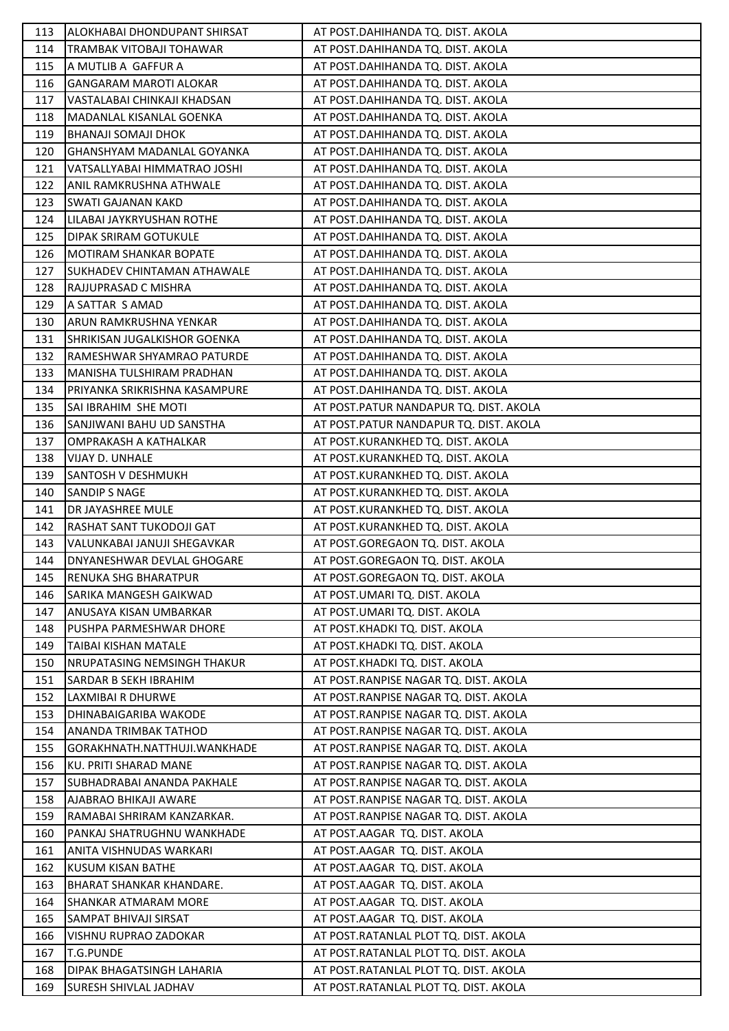| 113 | ALOKHABAI DHONDUPANT SHIRSAT       | AT POST.DAHIHANDA TQ. DIST. AKOLA      |
|-----|------------------------------------|----------------------------------------|
| 114 | TRAMBAK VITOBAJI TOHAWAR           | AT POST.DAHIHANDA TQ. DIST. AKOLA      |
| 115 | A MUTLIB A GAFFUR A                | AT POST.DAHIHANDA TQ. DIST. AKOLA      |
| 116 | <b>GANGARAM MAROTI ALOKAR</b>      | AT POST.DAHIHANDA TQ. DIST. AKOLA      |
| 117 | VASTALABAI CHINKAJI KHADSAN        | AT POST.DAHIHANDA TQ. DIST. AKOLA      |
| 118 | MADANLAL KISANLAL GOENKA           | AT POST.DAHIHANDA TQ. DIST. AKOLA      |
| 119 | <b>BHANAJI SOMAJI DHOK</b>         | AT POST.DAHIHANDA TQ. DIST. AKOLA      |
| 120 | GHANSHYAM MADANLAL GOYANKA         | AT POST.DAHIHANDA TQ. DIST. AKOLA      |
| 121 | VATSALLYABAI HIMMATRAO JOSHI       | AT POST.DAHIHANDA TQ. DIST. AKOLA      |
| 122 | ANIL RAMKRUSHNA ATHWALE            | AT POST.DAHIHANDA TQ. DIST. AKOLA      |
| 123 | <b>SWATI GAJANAN KAKD</b>          | AT POST.DAHIHANDA TQ. DIST. AKOLA      |
| 124 | LILABAI JAYKRYUSHAN ROTHE          | AT POST.DAHIHANDA TQ. DIST. AKOLA      |
| 125 | DIPAK SRIRAM GOTUKULE              | AT POST.DAHIHANDA TQ. DIST. AKOLA      |
| 126 | <b>MOTIRAM SHANKAR BOPATE</b>      | AT POST.DAHIHANDA TQ. DIST. AKOLA      |
| 127 | <b>SUKHADEV CHINTAMAN ATHAWALE</b> | AT POST.DAHIHANDA TQ. DIST. AKOLA      |
| 128 | RAJJUPRASAD C MISHRA               | AT POST.DAHIHANDA TQ. DIST. AKOLA      |
| 129 | A SATTAR S AMAD                    | AT POST.DAHIHANDA TQ. DIST. AKOLA      |
| 130 | ARUN RAMKRUSHNA YENKAR             | AT POST.DAHIHANDA TQ. DIST. AKOLA      |
| 131 | SHRIKISAN JUGALKISHOR GOENKA       | AT POST.DAHIHANDA TQ. DIST. AKOLA      |
| 132 | RAMESHWAR SHYAMRAO PATURDE         | AT POST.DAHIHANDA TQ. DIST. AKOLA      |
| 133 | MANISHA TULSHIRAM PRADHAN          | AT POST.DAHIHANDA TQ. DIST. AKOLA      |
| 134 | PRIYANKA SRIKRISHNA KASAMPURE      | AT POST.DAHIHANDA TQ. DIST. AKOLA      |
| 135 | SAI IBRAHIM SHE MOTI               | AT POST.PATUR NANDAPUR TQ. DIST. AKOLA |
| 136 | SANJIWANI BAHU UD SANSTHA          | AT POST.PATUR NANDAPUR TQ. DIST. AKOLA |
| 137 | OMPRAKASH A KATHALKAR              | AT POST.KURANKHED TQ. DIST. AKOLA      |
| 138 | VIJAY D. UNHALE                    | AT POST.KURANKHED TQ. DIST. AKOLA      |
| 139 | <b>SANTOSH V DESHMUKH</b>          | AT POST.KURANKHED TQ. DIST. AKOLA      |
| 140 | <b>SANDIP S NAGE</b>               | AT POST.KURANKHED TQ. DIST. AKOLA      |
| 141 | DR JAYASHREE MULE                  | AT POST.KURANKHED TQ. DIST. AKOLA      |
| 142 | RASHAT SANT TUKODOJI GAT           | AT POST.KURANKHED TQ. DIST. AKOLA      |
| 143 | VALUNKABAI JANUJI SHEGAVKAR        | AT POST.GOREGAON TQ. DIST. AKOLA       |
| 144 | DNYANESHWAR DEVLAL GHOGARE         | AT POST.GOREGAON TQ. DIST. AKOLA       |
| 145 | <b>RENUKA SHG BHARATPUR</b>        | AT POST.GOREGAON TQ. DIST. AKOLA       |
| 146 | SARIKA MANGESH GAIKWAD             | AT POST.UMARI TQ. DIST. AKOLA          |
| 147 | ANUSAYA KISAN UMBARKAR             | AT POST.UMARI TQ. DIST. AKOLA          |
| 148 | PUSHPA PARMESHWAR DHORE            | AT POST.KHADKI TQ. DIST. AKOLA         |
| 149 | <b>TAIBAI KISHAN MATALE</b>        | AT POST.KHADKI TQ. DIST. AKOLA         |
| 150 | NRUPATASING NEMSINGH THAKUR        | AT POST.KHADKI TQ. DIST. AKOLA         |
| 151 | SARDAR B SEKH IBRAHIM              | AT POST.RANPISE NAGAR TQ. DIST. AKOLA  |
| 152 | LAXMIBAI R DHURWE                  | AT POST.RANPISE NAGAR TQ. DIST. AKOLA  |
| 153 | DHINABAIGARIBA WAKODE              | AT POST.RANPISE NAGAR TQ. DIST. AKOLA  |
| 154 | ANANDA TRIMBAK TATHOD              | AT POST.RANPISE NAGAR TQ. DIST. AKOLA  |
| 155 | GORAKHNATH.NATTHUJI.WANKHADE       | AT POST.RANPISE NAGAR TQ. DIST. AKOLA  |
| 156 | KU. PRITI SHARAD MANE              | AT POST.RANPISE NAGAR TQ. DIST. AKOLA  |
| 157 | SUBHADRABAI ANANDA PAKHALE         | AT POST.RANPISE NAGAR TQ. DIST. AKOLA  |
| 158 | AJABRAO BHIKAJI AWARE              | AT POST.RANPISE NAGAR TQ. DIST. AKOLA  |
| 159 | RAMABAI SHRIRAM KANZARKAR.         | AT POST.RANPISE NAGAR TQ. DIST. AKOLA  |
| 160 | PANKAJ SHATRUGHNU WANKHADE         | AT POST.AAGAR TQ. DIST. AKOLA          |
| 161 | ANITA VISHNUDAS WARKARI            | AT POST.AAGAR TQ. DIST. AKOLA          |
| 162 | <b>KUSUM KISAN BATHE</b>           | AT POST.AAGAR TQ. DIST. AKOLA          |
| 163 | <b>BHARAT SHANKAR KHANDARE.</b>    | AT POST.AAGAR TQ. DIST. AKOLA          |
| 164 | SHANKAR ATMARAM MORE               | AT POST.AAGAR TQ. DIST. AKOLA          |
| 165 | SAMPAT BHIVAJI SIRSAT              | AT POST.AAGAR TQ. DIST. AKOLA          |
| 166 | VISHNU RUPRAO ZADOKAR              | AT POST.RATANLAL PLOT TQ. DIST. AKOLA  |
| 167 | <b>T.G.PUNDE</b>                   | AT POST.RATANLAL PLOT TQ. DIST. AKOLA  |
| 168 | DIPAK BHAGATSINGH LAHARIA          | AT POST.RATANLAL PLOT TQ. DIST. AKOLA  |
| 169 | SURESH SHIVLAL JADHAV              | AT POST.RATANLAL PLOT TQ. DIST. AKOLA  |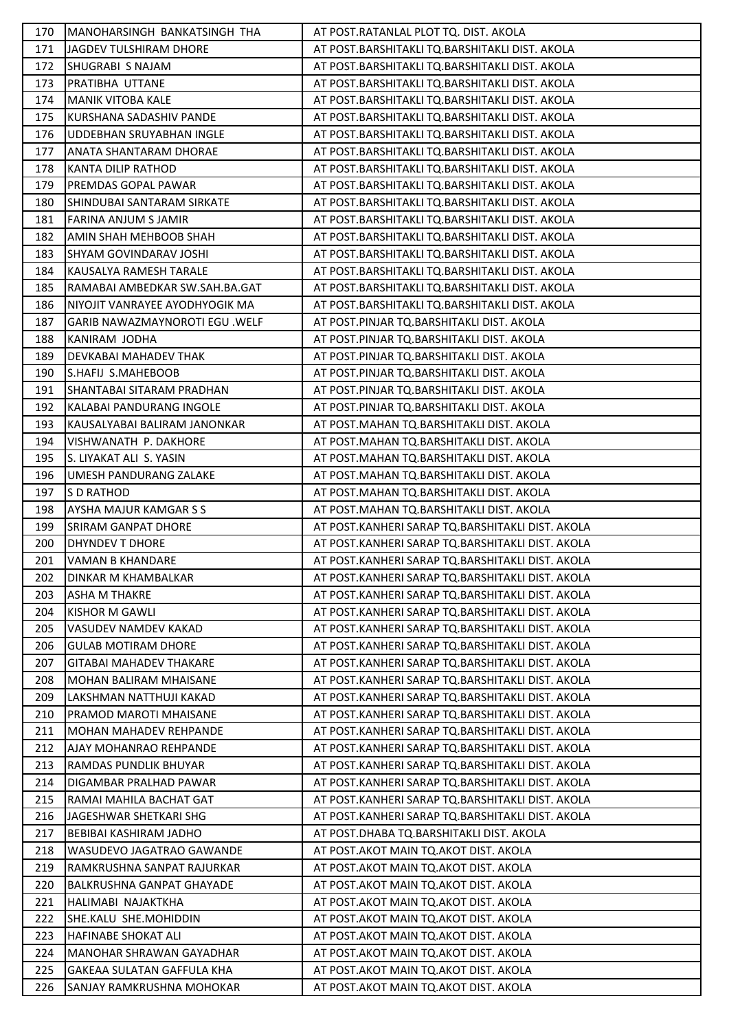| 170        | MANOHARSINGH BANKATSINGH THA                            | AT POST.RATANLAL PLOT TQ. DIST. AKOLA                                                                |
|------------|---------------------------------------------------------|------------------------------------------------------------------------------------------------------|
| 171        | JAGDEV TULSHIRAM DHORE                                  | AT POST.BARSHITAKLI TQ.BARSHITAKLI DIST. AKOLA                                                       |
| 172        | SHUGRABI S NAJAM                                        | AT POST.BARSHITAKLI TQ.BARSHITAKLI DIST. AKOLA                                                       |
| 173        | PRATIBHA UTTANE                                         | AT POST.BARSHITAKLI TQ.BARSHITAKLI DIST. AKOLA                                                       |
| 174        | <b>MANIK VITOBA KALE</b>                                | AT POST.BARSHITAKLI TQ.BARSHITAKLI DIST. AKOLA                                                       |
| 175        | KURSHANA SADASHIV PANDE                                 | AT POST.BARSHITAKLI TQ.BARSHITAKLI DIST. AKOLA                                                       |
| 176        | UDDEBHAN SRUYABHAN INGLE                                | AT POST.BARSHITAKLI TQ.BARSHITAKLI DIST. AKOLA                                                       |
| 177        | ANATA SHANTARAM DHORAE                                  | AT POST.BARSHITAKLI TQ.BARSHITAKLI DIST. AKOLA                                                       |
| 178        | <b>KANTA DILIP RATHOD</b>                               | AT POST.BARSHITAKLI TQ.BARSHITAKLI DIST. AKOLA                                                       |
| 179        | PREMDAS GOPAL PAWAR                                     | AT POST.BARSHITAKLI TQ.BARSHITAKLI DIST. AKOLA                                                       |
| 180        | SHINDUBAI SANTARAM SIRKATE                              | AT POST.BARSHITAKLI TQ.BARSHITAKLI DIST. AKOLA                                                       |
| 181        | FARINA ANJUM S JAMIR                                    | AT POST.BARSHITAKLI TQ.BARSHITAKLI DIST. AKOLA                                                       |
| 182        | AMIN SHAH MEHBOOB SHAH                                  | AT POST.BARSHITAKLI TQ.BARSHITAKLI DIST. AKOLA                                                       |
| 183        | SHYAM GOVINDARAV JOSHI                                  | AT POST.BARSHITAKLI TQ.BARSHITAKLI DIST. AKOLA                                                       |
| 184        | KAUSALYA RAMESH TARALE                                  | AT POST.BARSHITAKLI TQ.BARSHITAKLI DIST. AKOLA                                                       |
| 185        | RAMABAI AMBEDKAR SW.SAH.BA.GAT                          | AT POST.BARSHITAKLI TQ.BARSHITAKLI DIST. AKOLA                                                       |
| 186        | NIYOJIT VANRAYEE AYODHYOGIK MA                          | AT POST.BARSHITAKLI TQ.BARSHITAKLI DIST. AKOLA                                                       |
| 187        | GARIB NAWAZMAYNOROTI EGU .WELF                          | AT POST.PINJAR TQ.BARSHITAKLI DIST. AKOLA                                                            |
| 188        | KANIRAM JODHA                                           | AT POST.PINJAR TQ.BARSHITAKLI DIST. AKOLA                                                            |
| 189        | DEVKABAI MAHADEV THAK                                   | AT POST.PINJAR TQ.BARSHITAKLI DIST. AKOLA                                                            |
| 190        | S.HAFIJ S.MAHEBOOB                                      | AT POST.PINJAR TQ.BARSHITAKLI DIST. AKOLA                                                            |
| 191        | SHANTABAI SITARAM PRADHAN                               | AT POST.PINJAR TQ.BARSHITAKLI DIST. AKOLA                                                            |
| 192        | KALABAI PANDURANG INGOLE                                | AT POST.PINJAR TQ.BARSHITAKLI DIST. AKOLA                                                            |
| 193        | KAUSALYABAI BALIRAM JANONKAR                            | AT POST.MAHAN TQ.BARSHITAKLI DIST. AKOLA                                                             |
| 194        | VISHWANATH P. DAKHORE                                   | AT POST.MAHAN TQ.BARSHITAKLI DIST. AKOLA                                                             |
| 195        | S. LIYAKAT ALI S. YASIN                                 | AT POST.MAHAN TQ.BARSHITAKLI DIST. AKOLA                                                             |
| 196        | UMESH PANDURANG ZALAKE                                  | AT POST.MAHAN TQ.BARSHITAKLI DIST. AKOLA                                                             |
| 197        | S D RATHOD                                              | AT POST.MAHAN TQ.BARSHITAKLI DIST. AKOLA                                                             |
| 198        | AYSHA MAJUR KAMGAR S S                                  | AT POST.MAHAN TQ.BARSHITAKLI DIST. AKOLA                                                             |
| 199        | <b>SRIRAM GANPAT DHORE</b>                              | AT POST.KANHERI SARAP TQ.BARSHITAKLI DIST. AKOLA                                                     |
| 200        | DHYNDEV T DHORE                                         | AT POST.KANHERI SARAP TQ.BARSHITAKLI DIST. AKOLA                                                     |
| 201        | VAMAN B KHANDARE                                        | AT POST.KANHERI SARAP TQ.BARSHITAKLI DIST. AKOLA                                                     |
| 202        | <b>DINKAR M KHAMBALKAR</b>                              | AT POST.KANHERI SARAP TQ.BARSHITAKLI DIST. AKOLA                                                     |
| 203        | <b>ASHA M THAKRE</b>                                    | AT POST.KANHERI SARAP TO.BARSHITAKLI DIST. AKOLA                                                     |
| 204        | <b>KISHOR M GAWLI</b>                                   | AT POST.KANHERI SARAP TQ.BARSHITAKLI DIST. AKOLA                                                     |
| 205        | <b>VASUDEV NAMDEV KAKAD</b>                             | AT POST.KANHERI SARAP TQ.BARSHITAKLI DIST. AKOLA                                                     |
| 206        | <b>GULAB MOTIRAM DHORE</b>                              | AT POST.KANHERI SARAP TQ.BARSHITAKLI DIST. AKOLA                                                     |
| 207        | <b>GITABAI MAHADEV THAKARE</b>                          | AT POST.KANHERI SARAP TQ.BARSHITAKLI DIST. AKOLA                                                     |
| 208        | <b>MOHAN BALIRAM MHAISANE</b>                           | AT POST.KANHERI SARAP TO.BARSHITAKLI DIST. AKOLA                                                     |
| 209        | LAKSHMAN NATTHUJI KAKAD                                 | AT POST.KANHERI SARAP TQ.BARSHITAKLI DIST. AKOLA                                                     |
| 210        | PRAMOD MAROTI MHAISANE<br><b>MOHAN MAHADEV REHPANDE</b> | AT POST.KANHERI SARAP TQ.BARSHITAKLI DIST. AKOLA<br>AT POST.KANHERI SARAP TQ.BARSHITAKLI DIST. AKOLA |
| 211<br>212 | AJAY MOHANRAO REHPANDE                                  | AT POST.KANHERI SARAP TQ.BARSHITAKLI DIST. AKOLA                                                     |
| 213        | RAMDAS PUNDLIK BHUYAR                                   | AT POST.KANHERI SARAP TQ.BARSHITAKLI DIST. AKOLA                                                     |
| 214        | DIGAMBAR PRALHAD PAWAR                                  | AT POST.KANHERI SARAP TQ.BARSHITAKLI DIST. AKOLA                                                     |
| 215        | RAMAI MAHILA BACHAT GAT                                 | AT POST.KANHERI SARAP TQ.BARSHITAKLI DIST. AKOLA                                                     |
| 216        | JAGESHWAR SHETKARI SHG                                  | AT POST.KANHERI SARAP TQ.BARSHITAKLI DIST. AKOLA                                                     |
| 217        | <b>BEBIBAI KASHIRAM JADHO</b>                           | AT POST.DHABA TQ.BARSHITAKLI DIST. AKOLA                                                             |
| 218        | WASUDEVO JAGATRAO GAWANDE                               | AT POST.AKOT MAIN TQ.AKOT DIST. AKOLA                                                                |
| 219        | RAMKRUSHNA SANPAT RAJURKAR                              | AT POST.AKOT MAIN TQ.AKOT DIST. AKOLA                                                                |
| 220        | BALKRUSHNA GANPAT GHAYADE                               | AT POST.AKOT MAIN TQ.AKOT DIST. AKOLA                                                                |
| 221        | HALIMABI NAJAKTKHA                                      | AT POST.AKOT MAIN TQ.AKOT DIST. AKOLA                                                                |
| 222        | SHE.KALU SHE.MOHIDDIN                                   | AT POST.AKOT MAIN TO.AKOT DIST. AKOLA                                                                |
| 223        | <b>HAFINABE SHOKAT ALI</b>                              | AT POST.AKOT MAIN TQ.AKOT DIST. AKOLA                                                                |
| 224        | <b>MANOHAR SHRAWAN GAYADHAR</b>                         | AT POST.AKOT MAIN TQ.AKOT DIST. AKOLA                                                                |
| 225        | <b>GAKEAA SULATAN GAFFULA KHA</b>                       | AT POST.AKOT MAIN TQ.AKOT DIST. AKOLA                                                                |
| 226        | SANJAY RAMKRUSHNA MOHOKAR                               | AT POST. AKOT MAIN TQ. AKOT DIST. AKOLA                                                              |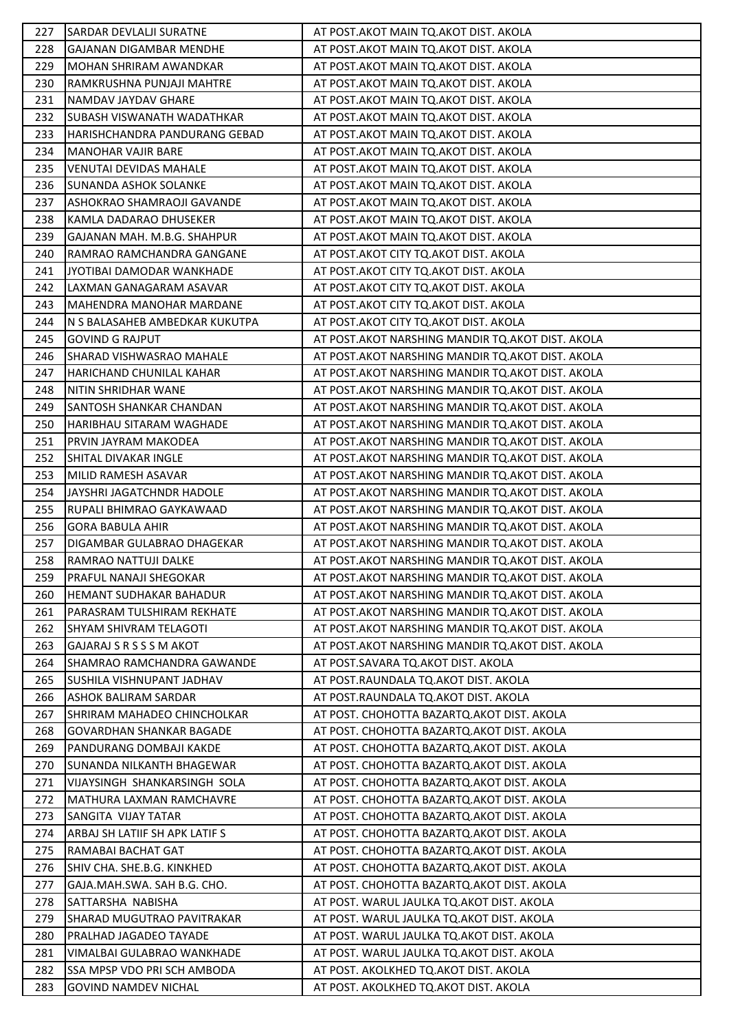| 227        | <b>SARDAR DEVLALJI SURATNE</b>                            | AT POST.AKOT MAIN TQ.AKOT DIST. AKOLA                                                    |
|------------|-----------------------------------------------------------|------------------------------------------------------------------------------------------|
| 228        | <b>GAJANAN DIGAMBAR MENDHE</b>                            | AT POST.AKOT MAIN TQ.AKOT DIST. AKOLA                                                    |
| 229        | MOHAN SHRIRAM AWANDKAR                                    | AT POST.AKOT MAIN TQ.AKOT DIST. AKOLA                                                    |
| 230        | RAMKRUSHNA PUNJAJI MAHTRE                                 | AT POST.AKOT MAIN TQ.AKOT DIST. AKOLA                                                    |
| 231        | NAMDAV JAYDAV GHARE                                       | AT POST. AKOT MAIN TO. AKOT DIST. AKOLA                                                  |
| 232        | <b>SUBASH VISWANATH WADATHKAR</b>                         | AT POST.AKOT MAIN TQ.AKOT DIST. AKOLA                                                    |
| 233        | HARISHCHANDRA PANDURANG GEBAD                             | AT POST.AKOT MAIN TQ.AKOT DIST. AKOLA                                                    |
| 234        | <b>MANOHAR VAJIR BARE</b>                                 | AT POST. AKOT MAIN TO. AKOT DIST. AKOLA                                                  |
| 235        | <b>VENUTAI DEVIDAS MAHALE</b>                             | AT POST.AKOT MAIN TQ.AKOT DIST. AKOLA                                                    |
| 236        | <b>SUNANDA ASHOK SOLANKE</b>                              | AT POST.AKOT MAIN TQ.AKOT DIST. AKOLA                                                    |
| 237        | ASHOKRAO SHAMRAOJI GAVANDE                                | AT POST.AKOT MAIN TQ.AKOT DIST. AKOLA                                                    |
| 238        | KAMLA DADARAO DHUSEKER                                    | AT POST.AKOT MAIN TQ.AKOT DIST. AKOLA                                                    |
| 239        | GAJANAN MAH. M.B.G. SHAHPUR                               | AT POST.AKOT MAIN TQ.AKOT DIST. AKOLA                                                    |
| 240        | RAMRAO RAMCHANDRA GANGANE                                 | AT POST. AKOT CITY TQ. AKOT DIST. AKOLA                                                  |
| 241        | JYOTIBAI DAMODAR WANKHADE                                 | AT POST. AKOT CITY TO. AKOT DIST. AKOLA                                                  |
| 242        | LAXMAN GANAGARAM ASAVAR                                   | AT POST. AKOT CITY TQ. AKOT DIST. AKOLA                                                  |
| 243        | <b>MAHENDRA MANOHAR MARDANE</b>                           | AT POST. AKOT CITY TQ. AKOT DIST. AKOLA                                                  |
| 244        | N S BALASAHEB AMBEDKAR KUKUTPA                            | AT POST.AKOT CITY TQ.AKOT DIST. AKOLA                                                    |
| 245        | <b>GOVIND G RAJPUT</b>                                    | AT POST. AKOT NARSHING MANDIR TQ. AKOT DIST. AKOLA                                       |
| 246        | SHARAD VISHWASRAO MAHALE                                  | AT POST. AKOT NARSHING MANDIR TQ. AKOT DIST. AKOLA                                       |
| 247        | HARICHAND CHUNILAL KAHAR                                  | AT POST.AKOT NARSHING MANDIR TQ.AKOT DIST. AKOLA                                         |
| 248        | NITIN SHRIDHAR WANE                                       | AT POST. AKOT NARSHING MANDIR TQ. AKOT DIST. AKOLA                                       |
| 249        | SANTOSH SHANKAR CHANDAN                                   | AT POST. AKOT NARSHING MANDIR TQ. AKOT DIST. AKOLA                                       |
| 250        | HARIBHAU SITARAM WAGHADE                                  | AT POST.AKOT NARSHING MANDIR TQ.AKOT DIST. AKOLA                                         |
| 251        | PRVIN JAYRAM MAKODEA                                      | AT POST. AKOT NARSHING MANDIR TQ. AKOT DIST. AKOLA                                       |
| 252        | SHITAL DIVAKAR INGLE                                      | AT POST. AKOT NARSHING MANDIR TQ. AKOT DIST. AKOLA                                       |
| 253        | MILID RAMESH ASAVAR                                       | AT POST. AKOT NARSHING MANDIR TQ. AKOT DIST. AKOLA                                       |
| 254        | JAYSHRI JAGATCHNDR HADOLE                                 | AT POST. AKOT NARSHING MANDIR TQ. AKOT DIST. AKOLA                                       |
| 255        | RUPALI BHIMRAO GAYKAWAAD                                  | AT POST. AKOT NARSHING MANDIR TQ. AKOT DIST. AKOLA                                       |
| 256        | <b>GORA BABULA AHIR</b>                                   | AT POST.AKOT NARSHING MANDIR TQ.AKOT DIST. AKOLA                                         |
| 257        | DIGAMBAR GULABRAO DHAGEKAR                                | AT POST. AKOT NARSHING MANDIR TQ. AKOT DIST. AKOLA                                       |
| 258        | RAMRAO NATTUJI DALKE                                      | AT POST. AKOT NARSHING MANDIR TQ. AKOT DIST. AKOLA                                       |
| 259        | <b>PRAFUL NANAJI SHEGOKAR</b>                             | AT POST.AKOT NARSHING MANDIR TQ.AKOT DIST. AKOLA                                         |
| 260        | HEMANT SUDHAKAR BAHADUR                                   | AT POST. AKOT NARSHING MANDIR TO. AKOT DIST. AKOLA                                       |
| 261        | PARASRAM TULSHIRAM REKHATE                                | AT POST. AKOT NARSHING MANDIR TQ. AKOT DIST. AKOLA                                       |
| 262        | ISHYAM SHIVRAM TELAGOTI                                   | AT POST. AKOT NARSHING MANDIR TO. AKOT DIST. AKOLA                                       |
| 263        | GAJARAJ S R S S S M AKOT                                  | AT POST. AKOT NARSHING MANDIR TO. AKOT DIST. AKOLA                                       |
| 264        | SHAMRAO RAMCHANDRA GAWANDE                                | AT POST.SAVARA TQ.AKOT DIST. AKOLA                                                       |
| 265        | SUSHILA VISHNUPANT JADHAV                                 | AT POST.RAUNDALA TO.AKOT DIST. AKOLA                                                     |
| 266        | <b>ASHOK BALIRAM SARDAR</b>                               | AT POST.RAUNDALA TO.AKOT DIST. AKOLA                                                     |
| 267        | SHRIRAM MAHADEO CHINCHOLKAR                               | AT POST. CHOHOTTA BAZARTQ. AKOT DIST. AKOLA                                              |
| 268        | <b>GOVARDHAN SHANKAR BAGADE</b>                           | AT POST. CHOHOTTA BAZARTQ.AKOT DIST. AKOLA                                               |
| 269        | PANDURANG DOMBAJI KAKDE                                   | AT POST. CHOHOTTA BAZARTQ.AKOT DIST. AKOLA                                               |
| 270        | SUNANDA NILKANTH BHAGEWAR                                 | AT POST. CHOHOTTA BAZARTQ. AKOT DIST. AKOLA                                              |
| 271        | VIJAYSINGH SHANKARSINGH SOLA                              | AT POST. CHOHOTTA BAZARTQ. AKOT DIST. AKOLA                                              |
| 272        | MATHURA LAXMAN RAMCHAVRE                                  | AT POST. CHOHOTTA BAZARTQ.AKOT DIST. AKOLA                                               |
| 273        | SANGITA VIJAY TATAR                                       | AT POST. CHOHOTTA BAZARTQ. AKOT DIST. AKOLA                                              |
| 274        | ARBAJ SH LATIIF SH APK LATIF S                            | AT POST. CHOHOTTA BAZARTQ. AKOT DIST. AKOLA                                              |
| 275<br>276 | RAMABAI BACHAT GAT                                        | AT POST. CHOHOTTA BAZARTQ.AKOT DIST. AKOLA                                               |
| 277        | SHIV CHA. SHE.B.G. KINKHED<br>GAJA.MAH.SWA. SAH B.G. CHO. | AT POST. CHOHOTTA BAZARTQ.AKOT DIST. AKOLA<br>AT POST. CHOHOTTA BAZARTQ.AKOT DIST. AKOLA |
| 278        | SATTARSHA NABISHA                                         | AT POST. WARUL JAULKA TQ.AKOT DIST. AKOLA                                                |
| 279        | <b>SHARAD MUGUTRAO PAVITRAKAR</b>                         | AT POST. WARUL JAULKA TQ.AKOT DIST. AKOLA                                                |
| 280        | PRALHAD JAGADEO TAYADE                                    | AT POST. WARUL JAULKA TQ.AKOT DIST. AKOLA                                                |
| 281        | VIMALBAI GULABRAO WANKHADE                                | AT POST. WARUL JAULKA TQ.AKOT DIST. AKOLA                                                |
| 282        | SSA MPSP VDO PRI SCH AMBODA                               | AT POST. AKOLKHED TQ.AKOT DIST. AKOLA                                                    |
| 283        | <b>GOVIND NAMDEV NICHAL</b>                               | AT POST. AKOLKHED TQ.AKOT DIST. AKOLA                                                    |
|            |                                                           |                                                                                          |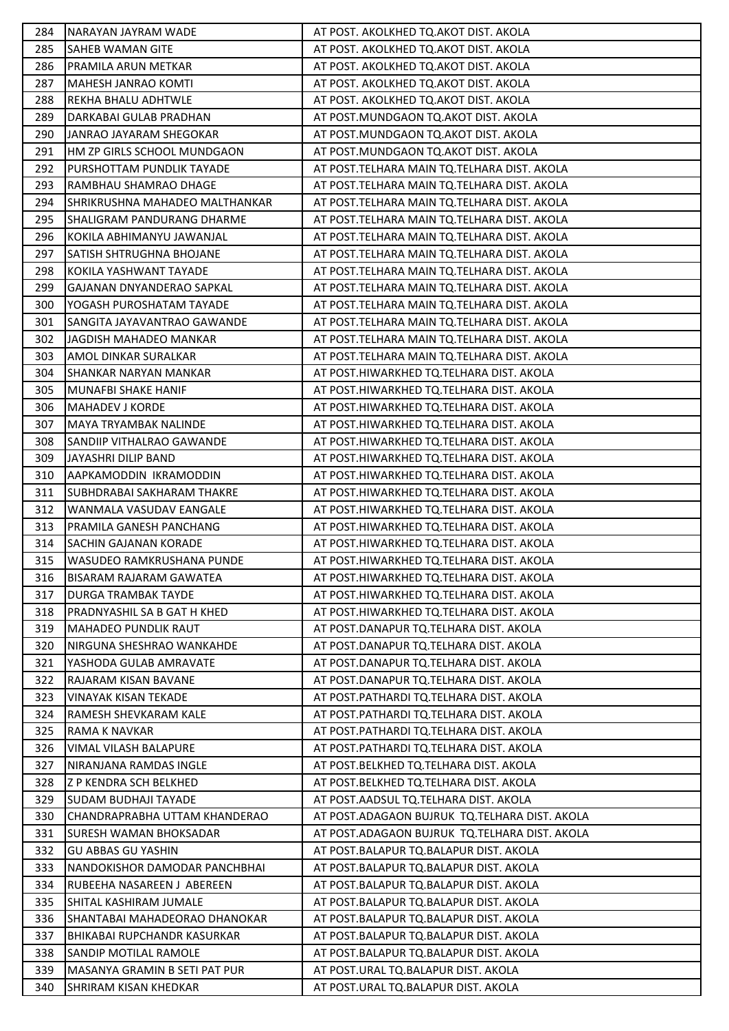| 284        | NARAYAN JAYRAM WADE                                        | AT POST. AKOLKHED TQ.AKOT DIST. AKOLA                                            |
|------------|------------------------------------------------------------|----------------------------------------------------------------------------------|
| 285        | <b>SAHEB WAMAN GITE</b>                                    | AT POST. AKOLKHED TQ.AKOT DIST. AKOLA                                            |
| 286        | <b>PRAMILA ARUN METKAR</b>                                 | AT POST. AKOLKHED TQ.AKOT DIST. AKOLA                                            |
| 287        | MAHESH JANRAO KOMTI                                        | AT POST. AKOLKHED TQ.AKOT DIST. AKOLA                                            |
| 288        | <b>REKHA BHALU ADHTWLE</b>                                 | AT POST. AKOLKHED TQ.AKOT DIST. AKOLA                                            |
| 289        | DARKABAI GULAB PRADHAN                                     | AT POST.MUNDGAON TQ.AKOT DIST. AKOLA                                             |
| 290        | JANRAO JAYARAM SHEGOKAR                                    | AT POST.MUNDGAON TQ.AKOT DIST. AKOLA                                             |
| 291        | HM ZP GIRLS SCHOOL MUNDGAON                                | AT POST.MUNDGAON TQ.AKOT DIST. AKOLA                                             |
| 292        | PURSHOTTAM PUNDLIK TAYADE                                  | AT POST.TELHARA MAIN TQ.TELHARA DIST. AKOLA                                      |
| 293        | RAMBHAU SHAMRAO DHAGE                                      | AT POST. TELHARA MAIN TO. TELHARA DIST. AKOLA                                    |
| 294        | SHRIKRUSHNA MAHADEO MALTHANKAR                             | AT POST.TELHARA MAIN TQ.TELHARA DIST. AKOLA                                      |
| 295        | <b>SHALIGRAM PANDURANG DHARME</b>                          | AT POST.TELHARA MAIN TQ.TELHARA DIST. AKOLA                                      |
| 296        | KOKILA ABHIMANYU JAWANJAL                                  | AT POST.TELHARA MAIN TQ.TELHARA DIST. AKOLA                                      |
| 297        | SATISH SHTRUGHNA BHOJANE                                   | AT POST.TELHARA MAIN TQ.TELHARA DIST. AKOLA                                      |
| 298        | KOKILA YASHWANT TAYADE                                     | AT POST.TELHARA MAIN TQ.TELHARA DIST. AKOLA                                      |
| 299        | GAJANAN DNYANDERAO SAPKAL                                  | AT POST.TELHARA MAIN TQ.TELHARA DIST. AKOLA                                      |
| 300        | YOGASH PUROSHATAM TAYADE                                   | AT POST.TELHARA MAIN TQ.TELHARA DIST. AKOLA                                      |
| 301        | ISANGITA JAYAVANTRAO GAWANDE                               | AT POST.TELHARA MAIN TQ.TELHARA DIST. AKOLA                                      |
| 302        | JAGDISH MAHADEO MANKAR                                     | AT POST.TELHARA MAIN TQ.TELHARA DIST. AKOLA                                      |
| 303        | <b>AMOL DINKAR SURALKAR</b>                                | AT POST.TELHARA MAIN TQ.TELHARA DIST. AKOLA                                      |
| 304        | <b>SHANKAR NARYAN MANKAR</b>                               | AT POST.HIWARKHED TQ.TELHARA DIST. AKOLA                                         |
| 305        | MUNAFBI SHAKE HANIF                                        | AT POST.HIWARKHED TQ.TELHARA DIST. AKOLA                                         |
| 306        | MAHADEV J KORDE                                            | AT POST.HIWARKHED TQ.TELHARA DIST. AKOLA                                         |
| 307        | MAYA TRYAMBAK NALINDE                                      | AT POST.HIWARKHED TQ.TELHARA DIST. AKOLA                                         |
| 308        | SANDIIP VITHALRAO GAWANDE                                  | AT POST.HIWARKHED TQ.TELHARA DIST. AKOLA                                         |
| 309        | JAYASHRI DILIP BAND                                        | AT POST.HIWARKHED TQ.TELHARA DIST. AKOLA                                         |
| 310        | AAPKAMODDIN IKRAMODDIN                                     | AT POST.HIWARKHED TQ.TELHARA DIST. AKOLA                                         |
| 311        | SUBHDRABAI SAKHARAM THAKRE                                 | AT POST.HIWARKHED TQ.TELHARA DIST. AKOLA                                         |
| 312        | WANMALA VASUDAV EANGALE                                    | AT POST.HIWARKHED TQ.TELHARA DIST. AKOLA                                         |
| 313        | PRAMILA GANESH PANCHANG                                    | AT POST.HIWARKHED TQ.TELHARA DIST. AKOLA                                         |
| 314        | <b>SACHIN GAJANAN KORADE</b>                               | AT POST.HIWARKHED TQ.TELHARA DIST. AKOLA                                         |
| 315        | WASUDEO RAMKRUSHANA PUNDE                                  | AT POST.HIWARKHED TQ.TELHARA DIST. AKOLA                                         |
| 316        | <b>BISARAM RAJARAM GAWATEA</b>                             | AT POST.HIWARKHED TQ.TELHARA DIST. AKOLA                                         |
| 317        | <b>DURGA TRAMBAK TAYDE</b>                                 | AT POST.HIWARKHED TQ.TELHARA DIST. AKOLA                                         |
| 318        | IPRADNYASHIL SA B GAT H KHED                               | AT POST.HIWARKHED TQ.TELHARA DIST. AKOLA                                         |
| 319        | MAHADEO PUNDLIK RAUT                                       | AT POST.DANAPUR TQ.TELHARA DIST. AKOLA                                           |
| 320        | INIRGUNA SHESHRAO WANKAHDE                                 | AT POST.DANAPUR TQ.TELHARA DIST. AKOLA                                           |
| 321        | YASHODA GULAB AMRAVATE                                     | AT POST.DANAPUR TQ.TELHARA DIST. AKOLA                                           |
| 322        | RAJARAM KISAN BAVANE                                       | AT POST.DANAPUR TQ.TELHARA DIST. AKOLA                                           |
| 323        | VINAYAK KISAN TEKADE                                       | AT POST.PATHARDI TQ.TELHARA DIST. AKOLA                                          |
| 324        | RAMESH SHEVKARAM KALE                                      | AT POST.PATHARDI TQ.TELHARA DIST. AKOLA                                          |
| 325        | RAMA K NAVKAR                                              | AT POST.PATHARDI TQ.TELHARA DIST. AKOLA                                          |
| 326        | VIMAL VILASH BALAPURE                                      | AT POST.PATHARDI TQ.TELHARA DIST. AKOLA                                          |
| 327        | NIRANJANA RAMDAS INGLE                                     | AT POST.BELKHED TQ.TELHARA DIST. AKOLA                                           |
| 328        | Z P KENDRA SCH BELKHED                                     | AT POST.BELKHED TQ.TELHARA DIST. AKOLA                                           |
| 329        | <b>SUDAM BUDHAJI TAYADE</b>                                | AT POST.AADSUL TQ.TELHARA DIST. AKOLA                                            |
| 330        | CHANDRAPRABHA UTTAM KHANDERAO                              | AT POST.ADAGAON BUJRUK TQ.TELHARA DIST. AKOLA                                    |
| 331        | <b>SURESH WAMAN BHOKSADAR</b>                              | AT POST.ADAGAON BUJRUK TQ.TELHARA DIST. AKOLA                                    |
| 332<br>333 | <b>GU ABBAS GU YASHIN</b><br>NANDOKISHOR DAMODAR PANCHBHAI | AT POST.BALAPUR TQ.BALAPUR DIST. AKOLA<br>AT POST.BALAPUR TQ.BALAPUR DIST. AKOLA |
| 334        | RUBEEHA NASAREEN J ABEREEN                                 | AT POST.BALAPUR TQ.BALAPUR DIST. AKOLA                                           |
| 335        | SHITAL KASHIRAM JUMALE                                     | AT POST.BALAPUR TQ.BALAPUR DIST. AKOLA                                           |
| 336        | ISHANTABAI MAHADEORAO DHANOKAR                             | AT POST. BALAPUR TO. BALAPUR DIST. AKOLA                                         |
| 337        | BHIKABAI RUPCHANDR KASURKAR                                | AT POST.BALAPUR TQ.BALAPUR DIST. AKOLA                                           |
| 338        | SANDIP MOTILAL RAMOLE                                      | AT POST.BALAPUR TQ.BALAPUR DIST. AKOLA                                           |
| 339        | IMASANYA GRAMIN B SETI PAT PUR                             | AT POST.URAL TQ.BALAPUR DIST. AKOLA                                              |
| 340        | <b>SHRIRAM KISAN KHEDKAR</b>                               | AT POST.URAL TQ.BALAPUR DIST. AKOLA                                              |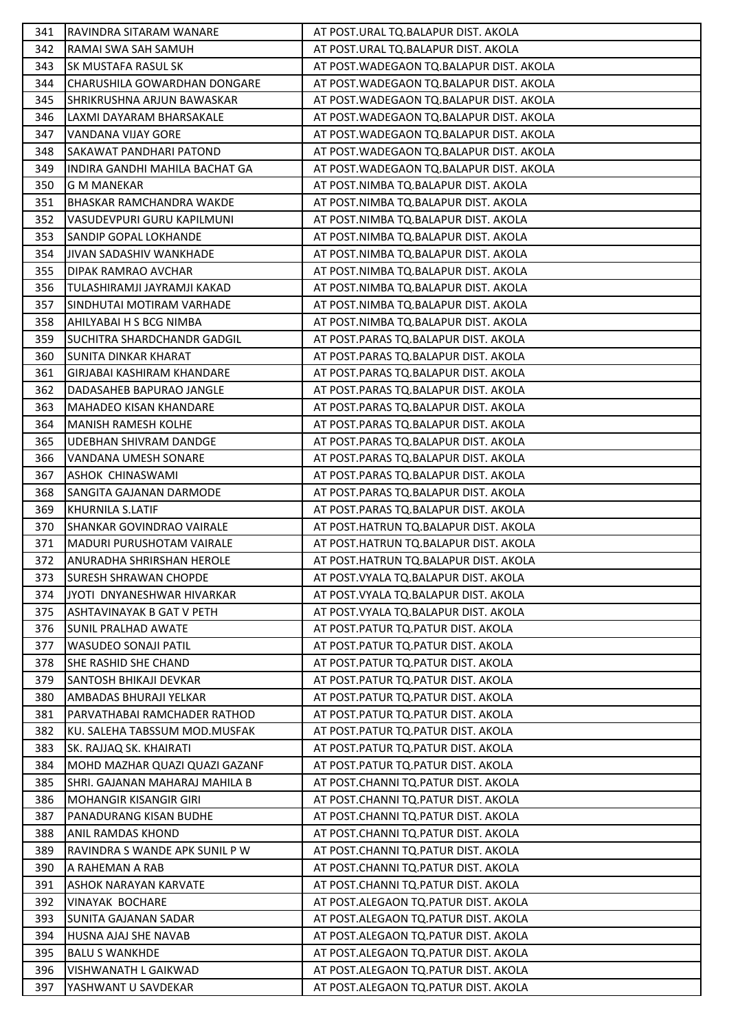| 341 | RAVINDRA SITARAM WANARE          | AT POST.URAL TQ.BALAPUR DIST. AKOLA       |
|-----|----------------------------------|-------------------------------------------|
| 342 | RAMAI SWA SAH SAMUH              | AT POST.URAL TQ.BALAPUR DIST. AKOLA       |
| 343 | SK MUSTAFA RASUL SK              | AT POST. WADEGAON TO. BALAPUR DIST. AKOLA |
| 344 | CHARUSHILA GOWARDHAN DONGARE     | AT POST. WADEGAON TO. BALAPUR DIST. AKOLA |
| 345 | SHRIKRUSHNA ARJUN BAWASKAR       | AT POST. WADEGAON TO. BALAPUR DIST. AKOLA |
| 346 | LAXMI DAYARAM BHARSAKALE         | AT POST. WADEGAON TO. BALAPUR DIST. AKOLA |
| 347 | VANDANA VIJAY GORE               | AT POST. WADEGAON TO. BALAPUR DIST. AKOLA |
| 348 | SAKAWAT PANDHARI PATOND          | AT POST. WADEGAON TO. BALAPUR DIST. AKOLA |
| 349 | INDIRA GANDHI MAHILA BACHAT GA   | AT POST. WADEGAON TO. BALAPUR DIST. AKOLA |
| 350 | <b>G M MANEKAR</b>               | AT POST.NIMBA TQ.BALAPUR DIST. AKOLA      |
| 351 | <b>BHASKAR RAMCHANDRA WAKDE</b>  | AT POST.NIMBA TQ.BALAPUR DIST. AKOLA      |
| 352 | VASUDEVPURI GURU KAPILMUNI       | AT POST.NIMBA TQ.BALAPUR DIST. AKOLA      |
| 353 | SANDIP GOPAL LOKHANDE            | AT POST.NIMBA TQ.BALAPUR DIST. AKOLA      |
| 354 | JIVAN SADASHIV WANKHADE          | AT POST.NIMBA TQ.BALAPUR DIST. AKOLA      |
| 355 | DIPAK RAMRAO AVCHAR              | AT POST.NIMBA TQ.BALAPUR DIST. AKOLA      |
| 356 | TULASHIRAMJI JAYRAMJI KAKAD      | AT POST.NIMBA TQ.BALAPUR DIST. AKOLA      |
| 357 | SINDHUTAI MOTIRAM VARHADE        | AT POST.NIMBA TQ.BALAPUR DIST. AKOLA      |
| 358 | AHILYABAI H S BCG NIMBA          | AT POST.NIMBA TQ.BALAPUR DIST. AKOLA      |
| 359 | SUCHITRA SHARDCHANDR GADGIL      | AT POST.PARAS TQ.BALAPUR DIST. AKOLA      |
| 360 | SUNITA DINKAR KHARAT             | AT POST.PARAS TQ.BALAPUR DIST. AKOLA      |
| 361 | GIRJABAI KASHIRAM KHANDARE       | AT POST.PARAS TQ.BALAPUR DIST. AKOLA      |
| 362 | DADASAHEB BAPURAO JANGLE         | AT POST.PARAS TQ.BALAPUR DIST. AKOLA      |
| 363 | <b>MAHADEO KISAN KHANDARE</b>    | AT POST.PARAS TQ.BALAPUR DIST. AKOLA      |
| 364 | <b>MANISH RAMESH KOLHE</b>       | AT POST.PARAS TQ.BALAPUR DIST. AKOLA      |
| 365 | UDEBHAN SHIVRAM DANDGE           | AT POST.PARAS TQ.BALAPUR DIST. AKOLA      |
| 366 | VANDANA UMESH SONARE             | AT POST.PARAS TQ.BALAPUR DIST. AKOLA      |
| 367 | ASHOK CHINASWAMI                 | AT POST.PARAS TQ.BALAPUR DIST. AKOLA      |
| 368 | SANGITA GAJANAN DARMODE          | AT POST.PARAS TQ.BALAPUR DIST. AKOLA      |
| 369 | KHURNILA S.LATIF                 | AT POST.PARAS TQ.BALAPUR DIST. AKOLA      |
| 370 | <b>SHANKAR GOVINDRAO VAIRALE</b> | AT POST.HATRUN TQ.BALAPUR DIST. AKOLA     |
| 371 | MADURI PURUSHOTAM VAIRALE        | AT POST.HATRUN TQ.BALAPUR DIST. AKOLA     |
| 372 | ANURADHA SHRIRSHAN HEROLE        | AT POST.HATRUN TQ.BALAPUR DIST. AKOLA     |
| 373 | <b>SURESH SHRAWAN CHOPDE</b>     | AT POST. VYALA TQ. BALAPUR DIST. AKOLA    |
| 374 | JYOTI DNYANESHWAR HIVARKAR       | AT POST. VYALA TQ. BALAPUR DIST. AKOLA    |
| 375 | <b>ASHTAVINAYAK B GAT V PETH</b> | AT POST. VYALA TQ. BALAPUR DIST. AKOLA    |
| 376 | <b>SUNIL PRALHAD AWATE</b>       | AT POST.PATUR TQ.PATUR DIST. AKOLA        |
| 377 | <b>WASUDEO SONAJI PATIL</b>      | AT POST.PATUR TQ.PATUR DIST. AKOLA        |
| 378 | SHE RASHID SHE CHAND             | AT POST.PATUR TQ.PATUR DIST. AKOLA        |
| 379 | SANTOSH BHIKAJI DEVKAR           | AT POST. PATUR TO. PATUR DIST. AKOLA      |
| 380 | <b>AMBADAS BHURAJI YELKAR</b>    | AT POST.PATUR TQ.PATUR DIST. AKOLA        |
| 381 | PARVATHABAI RAMCHADER RATHOD     | AT POST.PATUR TQ.PATUR DIST. AKOLA        |
| 382 | KU. SALEHA TABSSUM MOD.MUSFAK    | AT POST.PATUR TQ.PATUR DIST. AKOLA        |
| 383 | SK. RAJJAQ SK. KHAIRATI          | AT POST.PATUR TQ.PATUR DIST. AKOLA        |
| 384 | MOHD MAZHAR QUAZI QUAZI GAZANF   | AT POST.PATUR TQ.PATUR DIST. AKOLA        |
| 385 | SHRI. GAJANAN MAHARAJ MAHILA B   | AT POST.CHANNI TQ.PATUR DIST. AKOLA       |
| 386 | <b>MOHANGIR KISANGIR GIRI</b>    | AT POST.CHANNI TQ.PATUR DIST. AKOLA       |
| 387 | PANADURANG KISAN BUDHE           | AT POST.CHANNI TQ.PATUR DIST. AKOLA       |
| 388 | <b>ANIL RAMDAS KHOND</b>         | AT POST.CHANNI TQ.PATUR DIST. AKOLA       |
| 389 | RAVINDRA S WANDE APK SUNIL P W   | AT POST.CHANNI TQ.PATUR DIST. AKOLA       |
| 390 | A RAHEMAN A RAB                  | AT POST.CHANNI TQ.PATUR DIST. AKOLA       |
| 391 | <b>ASHOK NARAYAN KARVATE</b>     | AT POST.CHANNI TQ.PATUR DIST. AKOLA       |
| 392 | <b>VINAYAK BOCHARE</b>           | AT POST.ALEGAON TQ.PATUR DIST. AKOLA      |
| 393 | <b>SUNITA GAJANAN SADAR</b>      | AT POST.ALEGAON TO.PATUR DIST. AKOLA      |
| 394 | HUSNA AJAJ SHE NAVAB             | AT POST.ALEGAON TQ.PATUR DIST. AKOLA      |
| 395 | <b>BALU S WANKHDE</b>            | AT POST.ALEGAON TQ.PATUR DIST. AKOLA      |
| 396 | VISHWANATH L GAIKWAD             | AT POST.ALEGAON TQ.PATUR DIST. AKOLA      |
| 397 | YASHWANT U SAVDEKAR              | AT POST.ALEGAON TQ.PATUR DIST. AKOLA      |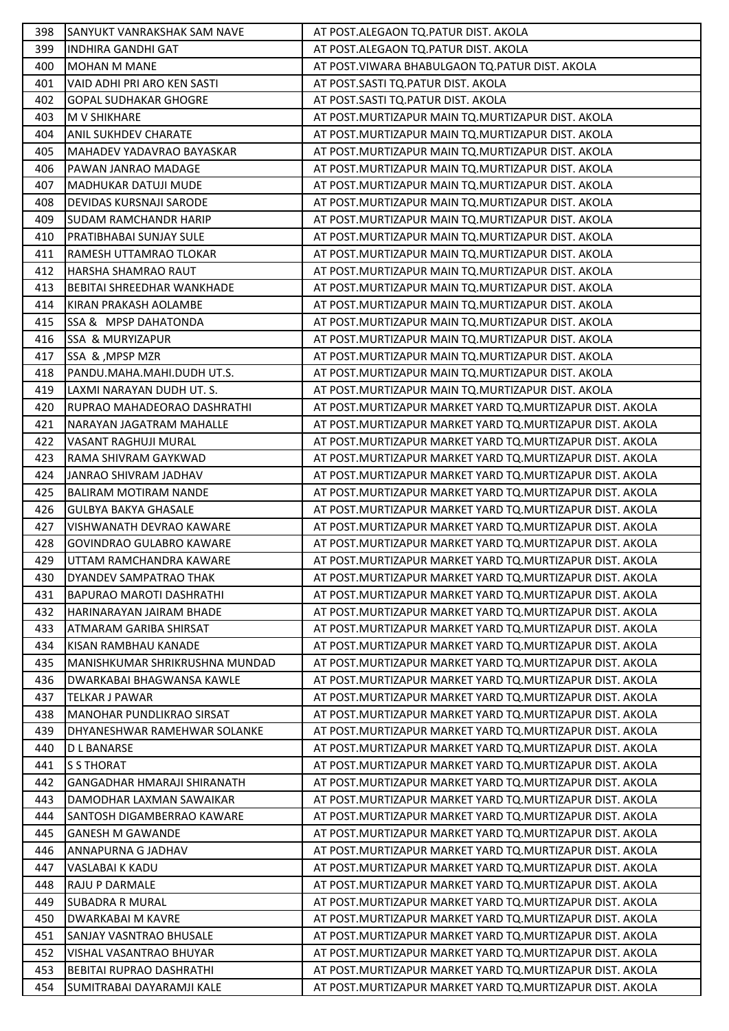| 398 | <b>SANYUKT VANRAKSHAK SAM NAVE</b> | AT POST.ALEGAON TO.PATUR DIST. AKOLA                       |
|-----|------------------------------------|------------------------------------------------------------|
| 399 | <b>INDHIRA GANDHI GAT</b>          | AT POST.ALEGAON TQ.PATUR DIST. AKOLA                       |
| 400 | <b>MOHAN M MANE</b>                | AT POST. VIWARA BHABULGAON TO. PATUR DIST. AKOLA           |
| 401 | VAID ADHI PRI ARO KEN SASTI        | AT POST.SASTI TQ.PATUR DIST. AKOLA                         |
| 402 | <b>GOPAL SUDHAKAR GHOGRE</b>       | AT POST.SASTI TQ.PATUR DIST. AKOLA                         |
| 403 | <b>M V SHIKHARE</b>                | AT POST. MURTIZAPUR MAIN TQ. MURTIZAPUR DIST. AKOLA        |
| 404 | <b>ANIL SUKHDEV CHARATE</b>        | AT POST. MURTIZAPUR MAIN TQ. MURTIZAPUR DIST. AKOLA        |
| 405 | MAHADEV YADAVRAO BAYASKAR          | AT POST. MURTIZAPUR MAIN TQ. MURTIZAPUR DIST. AKOLA        |
| 406 | PAWAN JANRAO MADAGE                | AT POST. MURTIZAPUR MAIN TO. MURTIZAPUR DIST. AKOLA        |
| 407 | <b>MADHUKAR DATUJI MUDE</b>        | AT POST. MURTIZAPUR MAIN TQ. MURTIZAPUR DIST. AKOLA        |
| 408 | <b>DEVIDAS KURSNAJI SARODE</b>     | AT POST. MURTIZAPUR MAIN TO. MURTIZAPUR DIST. AKOLA        |
| 409 | <b>SUDAM RAMCHANDR HARIP</b>       | AT POST. MURTIZAPUR MAIN TQ. MURTIZAPUR DIST. AKOLA        |
| 410 | <b>PRATIBHABAI SUNJAY SULE</b>     | AT POST. MURTIZAPUR MAIN TQ. MURTIZAPUR DIST. AKOLA        |
| 411 | RAMESH UTTAMRAO TLOKAR             | AT POST. MURTIZAPUR MAIN TO. MURTIZAPUR DIST. AKOLA        |
| 412 | <b>HARSHA SHAMRAO RAUT</b>         | AT POST. MURTIZAPUR MAIN TQ. MURTIZAPUR DIST. AKOLA        |
| 413 | BEBITAI SHREEDHAR WANKHADE         | AT POST. MURTIZAPUR MAIN TQ. MURTIZAPUR DIST. AKOLA        |
| 414 | KIRAN PRAKASH AOLAMBE              | AT POST. MURTIZAPUR MAIN TO. MURTIZAPUR DIST. AKOLA        |
| 415 | SSA & MPSP DAHATONDA               | AT POST. MURTIZAPUR MAIN TQ. MURTIZAPUR DIST. AKOLA        |
| 416 | <b>SSA &amp; MURYIZAPUR</b>        | AT POST. MURTIZAPUR MAIN TO. MURTIZAPUR DIST. AKOLA        |
| 417 | SSA & , MPSP MZR                   | AT POST. MURTIZAPUR MAIN TO. MURTIZAPUR DIST. AKOLA        |
| 418 | PANDU.MAHA.MAHI.DUDH UT.S.         | AT POST. MURTIZAPUR MAIN TQ. MURTIZAPUR DIST. AKOLA        |
| 419 | LAXMI NARAYAN DUDH UT. S.          | AT POST. MURTIZAPUR MAIN TQ. MURTIZAPUR DIST. AKOLA        |
| 420 | RUPRAO MAHADEORAO DASHRATHI        | AT POST. MURTIZAPUR MARKET YARD TQ. MURTIZAPUR DIST. AKOLA |
| 421 | NARAYAN JAGATRAM MAHALLE           | AT POST. MURTIZAPUR MARKET YARD TQ. MURTIZAPUR DIST. AKOLA |
| 422 | VASANT RAGHUJI MURAL               | AT POST. MURTIZAPUR MARKET YARD TQ. MURTIZAPUR DIST. AKOLA |
| 423 | RAMA SHIVRAM GAYKWAD               | AT POST. MURTIZAPUR MARKET YARD TQ. MURTIZAPUR DIST. AKOLA |
| 424 | JANRAO SHIVRAM JADHAV              | AT POST. MURTIZAPUR MARKET YARD TQ. MURTIZAPUR DIST. AKOLA |
| 425 | <b>BALIRAM MOTIRAM NANDE</b>       | AT POST. MURTIZAPUR MARKET YARD TQ. MURTIZAPUR DIST. AKOLA |
| 426 | <b>GULBYA BAKYA GHASALE</b>        | AT POST. MURTIZAPUR MARKET YARD TQ. MURTIZAPUR DIST. AKOLA |
| 427 | VISHWANATH DEVRAO KAWARE           | AT POST. MURTIZAPUR MARKET YARD TQ. MURTIZAPUR DIST. AKOLA |
| 428 | <b>GOVINDRAO GULABRO KAWARE</b>    | AT POST. MURTIZAPUR MARKET YARD TQ. MURTIZAPUR DIST. AKOLA |
| 429 | UTTAM RAMCHANDRA KAWARE            | AT POST.MURTIZAPUR MARKET YARD TQ.MURTIZAPUR DIST. AKOLA   |
| 430 | DYANDEV SAMPATRAO THAK             | AT POST. MURTIZAPUR MARKET YARD TQ. MURTIZAPUR DIST. AKOLA |
| 431 | BAPURAO MAROTI DASHRATHI           | AT POST.MURTIZAPUR MARKET YARD TQ.MURTIZAPUR DIST. AKOLA   |
| 432 | HARINARAYAN JAIRAM BHADE           | AT POST. MURTIZAPUR MARKET YARD TQ. MURTIZAPUR DIST. AKOLA |
| 433 | ATMARAM GARIBA SHIRSAT             | AT POST. MURTIZAPUR MARKET YARD TQ. MURTIZAPUR DIST. AKOLA |
| 434 | KISAN RAMBHAU KANADE               | AT POST. MURTIZAPUR MARKET YARD TQ. MURTIZAPUR DIST. AKOLA |
| 435 | MANISHKUMAR SHRIKRUSHNA MUNDAD     | AT POST. MURTIZAPUR MARKET YARD TQ. MURTIZAPUR DIST. AKOLA |
| 436 | <b>DWARKABAI BHAGWANSA KAWLE</b>   | AT POST. MURTIZAPUR MARKET YARD TO. MURTIZAPUR DIST. AKOLA |
| 437 | TELKAR J PAWAR                     | AT POST.MURTIZAPUR MARKET YARD TQ.MURTIZAPUR DIST. AKOLA   |
| 438 | <b>MANOHAR PUNDLIKRAO SIRSAT</b>   | AT POST. MURTIZAPUR MARKET YARD TQ. MURTIZAPUR DIST. AKOLA |
| 439 | DHYANESHWAR RAMEHWAR SOLANKE       | AT POST. MURTIZAPUR MARKET YARD TQ. MURTIZAPUR DIST. AKOLA |
| 440 | <b>DL BANARSE</b>                  | AT POST. MURTIZAPUR MARKET YARD TQ. MURTIZAPUR DIST. AKOLA |
| 441 | <b>S S THORAT</b>                  | AT POST. MURTIZAPUR MARKET YARD TQ. MURTIZAPUR DIST. AKOLA |
| 442 | <b>GANGADHAR HMARAJI SHIRANATH</b> | AT POST. MURTIZAPUR MARKET YARD TQ. MURTIZAPUR DIST. AKOLA |
| 443 | DAMODHAR LAXMAN SAWAIKAR           | AT POST. MURTIZAPUR MARKET YARD TQ. MURTIZAPUR DIST. AKOLA |
| 444 | ISANTOSH DIGAMBERRAO KAWARE        | AT POST.MURTIZAPUR MARKET YARD TQ.MURTIZAPUR DIST. AKOLA   |
| 445 | <b>GANESH M GAWANDE</b>            | AT POST.MURTIZAPUR MARKET YARD TQ.MURTIZAPUR DIST. AKOLA   |
| 446 | <b>ANNAPURNA G JADHAV</b>          | AT POST. MURTIZAPUR MARKET YARD TQ. MURTIZAPUR DIST. AKOLA |
| 447 | <b>VASLABAI K KADU</b>             | AT POST. MURTIZAPUR MARKET YARD TQ. MURTIZAPUR DIST. AKOLA |
| 448 | <b>RAJU P DARMALE</b>              | AT POST.MURTIZAPUR MARKET YARD TQ.MURTIZAPUR DIST. AKOLA   |
| 449 | <b>SUBADRA R MURAL</b>             | AT POST. MURTIZAPUR MARKET YARD TO. MURTIZAPUR DIST. AKOLA |
| 450 | <b>DWARKABAI M KAVRE</b>           | AT POST.MURTIZAPUR MARKET YARD TQ.MURTIZAPUR DIST. AKOLA   |
| 451 | <b>SANJAY VASNTRAO BHUSALE</b>     | AT POST.MURTIZAPUR MARKET YARD TQ.MURTIZAPUR DIST. AKOLA   |
| 452 | <b>VISHAL VASANTRAO BHUYAR</b>     | AT POST. MURTIZAPUR MARKET YARD TQ. MURTIZAPUR DIST. AKOLA |
| 453 | <b>BEBITAI RUPRAO DASHRATHI</b>    | AT POST. MURTIZAPUR MARKET YARD TQ. MURTIZAPUR DIST. AKOLA |
| 454 | SUMITRABAI DAYARAMJI KALE          | AT POST. MURTIZAPUR MARKET YARD TQ. MURTIZAPUR DIST. AKOLA |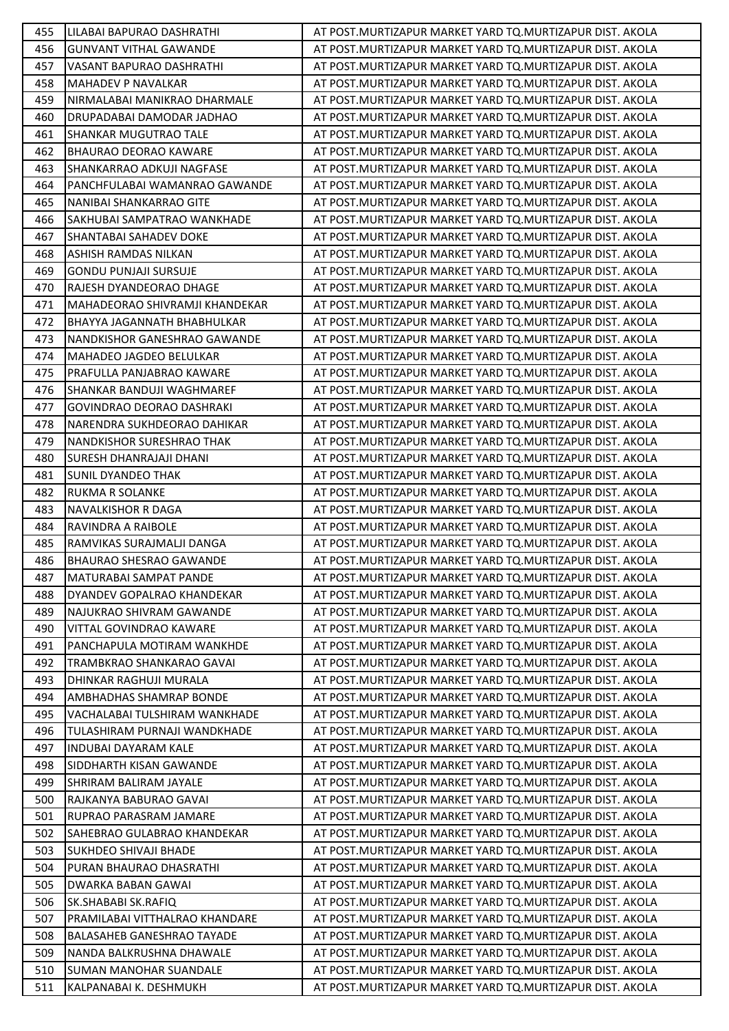| 455 | LILABAI BAPURAO DASHRATHI          | AT POST.MURTIZAPUR MARKET YARD TO.MURTIZAPUR DIST. AKOLA   |
|-----|------------------------------------|------------------------------------------------------------|
| 456 | <b>GUNVANT VITHAL GAWANDE</b>      | AT POST.MURTIZAPUR MARKET YARD TO.MURTIZAPUR DIST. AKOLA   |
| 457 | VASANT BAPURAO DASHRATHI           | AT POST. MURTIZAPUR MARKET YARD TO. MURTIZAPUR DIST. AKOLA |
| 458 | <b>MAHADEV P NAVALKAR</b>          | AT POST.MURTIZAPUR MARKET YARD TO.MURTIZAPUR DIST. AKOLA   |
| 459 | NIRMALABAI MANIKRAO DHARMALE       | AT POST.MURTIZAPUR MARKET YARD TO.MURTIZAPUR DIST. AKOLA   |
| 460 | DRUPADABAI DAMODAR JADHAO          | AT POST. MURTIZAPUR MARKET YARD TQ. MURTIZAPUR DIST. AKOLA |
| 461 | SHANKAR MUGUTRAO TALE              | AT POST.MURTIZAPUR MARKET YARD TO.MURTIZAPUR DIST. AKOLA   |
| 462 | <b>BHAURAO DEORAO KAWARE</b>       | AT POST.MURTIZAPUR MARKET YARD TO.MURTIZAPUR DIST. AKOLA   |
| 463 | SHANKARRAO ADKUJI NAGFASE          | AT POST. MURTIZAPUR MARKET YARD TO. MURTIZAPUR DIST. AKOLA |
| 464 | PANCHFULABAI WAMANRAO GAWANDE      | AT POST. MURTIZAPUR MARKET YARD TO. MURTIZAPUR DIST. AKOLA |
| 465 | NANIBAI SHANKARRAO GITE            | AT POST.MURTIZAPUR MARKET YARD TO.MURTIZAPUR DIST. AKOLA   |
| 466 | SAKHUBAI SAMPATRAO WANKHADE        | AT POST. MURTIZAPUR MARKET YARD TO. MURTIZAPUR DIST. AKOLA |
| 467 | SHANTABAI SAHADEV DOKE             | AT POST.MURTIZAPUR MARKET YARD TO.MURTIZAPUR DIST. AKOLA   |
| 468 | ASHISH RAMDAS NILKAN               | AT POST.MURTIZAPUR MARKET YARD TQ.MURTIZAPUR DIST. AKOLA   |
| 469 | <b>GONDU PUNJAJI SURSUJE</b>       | AT POST. MURTIZAPUR MARKET YARD TO. MURTIZAPUR DIST. AKOLA |
| 470 | RAJESH DYANDEORAO DHAGE            | AT POST. MURTIZAPUR MARKET YARD TO. MURTIZAPUR DIST. AKOLA |
| 471 | MAHADEORAO SHIVRAMJI KHANDEKAR     | AT POST. MURTIZAPUR MARKET YARD TO. MURTIZAPUR DIST. AKOLA |
| 472 | <b>BHAYYA JAGANNATH BHABHULKAR</b> | AT POST.MURTIZAPUR MARKET YARD TO.MURTIZAPUR DIST. AKOLA   |
| 473 | NANDKISHOR GANESHRAO GAWANDE       | AT POST.MURTIZAPUR MARKET YARD TO.MURTIZAPUR DIST. AKOLA   |
| 474 | <b>MAHADEO JAGDEO BELULKAR</b>     | AT POST. MURTIZAPUR MARKET YARD TO. MURTIZAPUR DIST. AKOLA |
| 475 | IPRAFULLA PANJABRAO KAWARE         | AT POST. MURTIZAPUR MARKET YARD TO. MURTIZAPUR DIST. AKOLA |
| 476 | ISHANKAR BANDUJI WAGHMAREF         | AT POST.MURTIZAPUR MARKET YARD TO.MURTIZAPUR DIST. AKOLA   |
| 477 | <b>GOVINDRAO DEORAO DASHRAKI</b>   | AT POST. MURTIZAPUR MARKET YARD TO. MURTIZAPUR DIST. AKOLA |
| 478 | NARENDRA SUKHDEORAO DAHIKAR        | AT POST. MURTIZAPUR MARKET YARD TO. MURTIZAPUR DIST. AKOLA |
| 479 | <b>NANDKISHOR SURESHRAO THAK</b>   | AT POST.MURTIZAPUR MARKET YARD TO.MURTIZAPUR DIST. AKOLA   |
| 480 | SURESH DHANRAJAJI DHANI            | AT POST.MURTIZAPUR MARKET YARD TO.MURTIZAPUR DIST. AKOLA   |
| 481 | <b>SUNIL DYANDEO THAK</b>          | AT POST.MURTIZAPUR MARKET YARD TO.MURTIZAPUR DIST. AKOLA   |
| 482 | <b>RUKMA R SOLANKE</b>             | AT POST. MURTIZAPUR MARKET YARD TO. MURTIZAPUR DIST. AKOLA |
| 483 | <b>NAVALKISHOR R DAGA</b>          | AT POST.MURTIZAPUR MARKET YARD TO.MURTIZAPUR DIST. AKOLA   |
| 484 | RAVINDRA A RAIBOLE                 | AT POST.MURTIZAPUR MARKET YARD TO.MURTIZAPUR DIST. AKOLA   |
| 485 | RAMVIKAS SURAJMALJI DANGA          | AT POST. MURTIZAPUR MARKET YARD TO. MURTIZAPUR DIST. AKOLA |
| 486 | <b>BHAURAO SHESRAO GAWANDE</b>     | AT POST. MURTIZAPUR MARKET YARD TQ. MURTIZAPUR DIST. AKOLA |
| 487 | IMATURABAI SAMPAT PANDE            | AT POST.MURTIZAPUR MARKET YARD TQ.MURTIZAPUR DIST. AKOLA   |
| 488 | DYANDEV GOPALRAO KHANDEKAR         | AT POST.MURTIZAPUR MARKET YARD TO.MURTIZAPUR DIST. AKOLA   |
| 489 | NAJUKRAO SHIVRAM GAWANDE           | AT POST.MURTIZAPUR MARKET YARD TO.MURTIZAPUR DIST. AKOLA   |
| 490 | VITTAL GOVINDRAO KAWARE            | AT POST.MURTIZAPUR MARKET YARD TQ.MURTIZAPUR DIST. AKOLA   |
| 491 | PANCHAPULA MOTIRAM WANKHDE         | AT POST.MURTIZAPUR MARKET YARD TO.MURTIZAPUR DIST. AKOLA   |
| 492 | TRAMBKRAO SHANKARAO GAVAI          | AT POST.MURTIZAPUR MARKET YARD TO.MURTIZAPUR DIST. AKOLA   |
| 493 | DHINKAR RAGHUJI MURALA             | AT POST.MURTIZAPUR MARKET YARD TQ.MURTIZAPUR DIST. AKOLA   |
| 494 | AMBHADHAS SHAMRAP BONDE            | AT POST.MURTIZAPUR MARKET YARD TO.MURTIZAPUR DIST. AKOLA   |
| 495 | VACHALABAI TULSHIRAM WANKHADE      | AT POST.MURTIZAPUR MARKET YARD TO.MURTIZAPUR DIST. AKOLA   |
| 496 | TULASHIRAM PURNAJI WANDKHADE       | AT POST.MURTIZAPUR MARKET YARD TQ.MURTIZAPUR DIST. AKOLA   |
| 497 | <b>INDUBAI DAYARAM KALE</b>        | AT POST.MURTIZAPUR MARKET YARD TO.MURTIZAPUR DIST. AKOLA   |
| 498 | SIDDHARTH KISAN GAWANDE            | AT POST.MURTIZAPUR MARKET YARD TO.MURTIZAPUR DIST. AKOLA   |
| 499 | <b>SHRIRAM BALIRAM JAYALE</b>      | AT POST.MURTIZAPUR MARKET YARD TO.MURTIZAPUR DIST. AKOLA   |
| 500 | RAJKANYA BABURAO GAVAI             | AT POST.MURTIZAPUR MARKET YARD TO.MURTIZAPUR DIST. AKOLA   |
| 501 | RUPRAO PARASRAM JAMARE             | AT POST.MURTIZAPUR MARKET YARD TO.MURTIZAPUR DIST. AKOLA   |
| 502 | SAHEBRAO GULABRAO KHANDEKAR        | AT POST.MURTIZAPUR MARKET YARD TO.MURTIZAPUR DIST. AKOLA   |
| 503 | <b>SUKHDEO SHIVAJI BHADE</b>       | AT POST.MURTIZAPUR MARKET YARD TO.MURTIZAPUR DIST. AKOLA   |
| 504 | PURAN BHAURAO DHASRATHI            | AT POST.MURTIZAPUR MARKET YARD TQ.MURTIZAPUR DIST. AKOLA   |
| 505 | <b>DWARKA BABAN GAWAI</b>          | AT POST.MURTIZAPUR MARKET YARD TO.MURTIZAPUR DIST. AKOLA   |
| 506 | SK.SHABABI SK.RAFIQ                | AT POST.MURTIZAPUR MARKET YARD TO.MURTIZAPUR DIST. AKOLA   |
| 507 | PRAMILABAI VITTHALRAO KHANDARE     | AT POST.MURTIZAPUR MARKET YARD TO.MURTIZAPUR DIST. AKOLA   |
| 508 | <b>BALASAHEB GANESHRAO TAYADE</b>  | AT POST.MURTIZAPUR MARKET YARD TO.MURTIZAPUR DIST. AKOLA   |
| 509 | NANDA BALKRUSHNA DHAWALE           | AT POST.MURTIZAPUR MARKET YARD TO.MURTIZAPUR DIST. AKOLA   |
| 510 | <b>SUMAN MANOHAR SUANDALE</b>      | AT POST.MURTIZAPUR MARKET YARD TO.MURTIZAPUR DIST. AKOLA   |
| 511 | KALPANABAI K. DESHMUKH             | AT POST. MURTIZAPUR MARKET YARD TO. MURTIZAPUR DIST. AKOLA |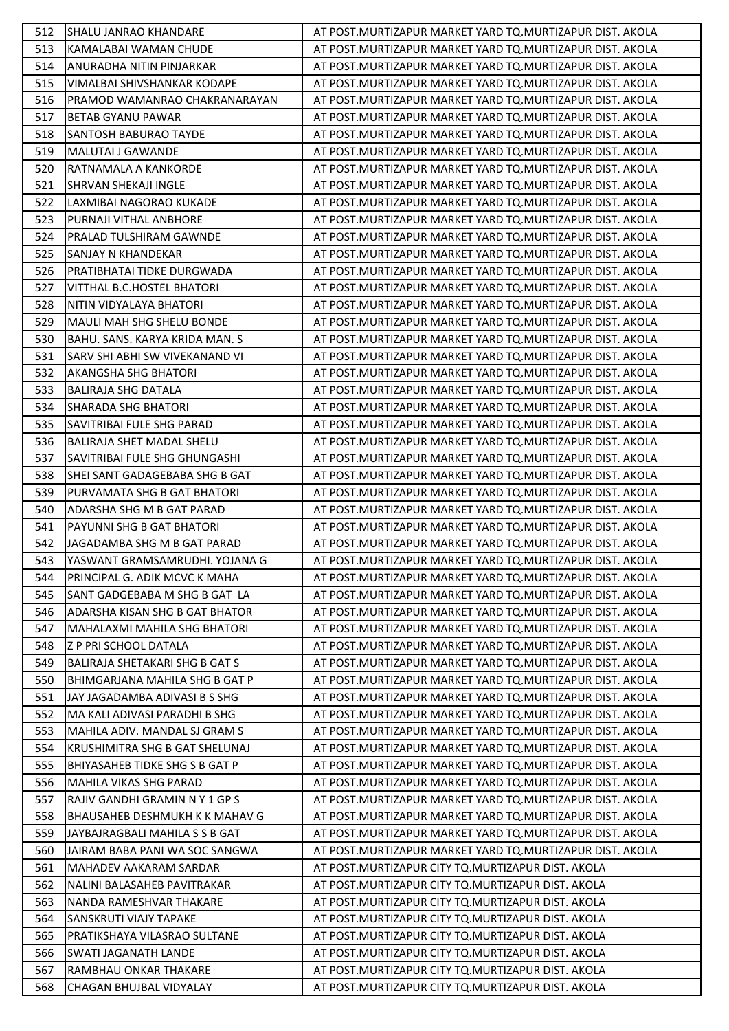| 512        | <b>SHALU JANRAO KHANDARE</b>                                   | AT POST.MURTIZAPUR MARKET YARD TO.MURTIZAPUR DIST. AKOLA                                                               |
|------------|----------------------------------------------------------------|------------------------------------------------------------------------------------------------------------------------|
| 513        | KAMALABAI WAMAN CHUDE                                          | AT POST. MURTIZAPUR MARKET YARD TO. MURTIZAPUR DIST. AKOLA                                                             |
| 514        | ANURADHA NITIN PINJARKAR                                       | AT POST. MURTIZAPUR MARKET YARD TQ. MURTIZAPUR DIST. AKOLA                                                             |
| 515        | <b>VIMALBAI SHIVSHANKAR KODAPE</b>                             | AT POST. MURTIZAPUR MARKET YARD TQ. MURTIZAPUR DIST. AKOLA                                                             |
| 516        | PRAMOD WAMANRAO CHAKRANARAYAN                                  | AT POST. MURTIZAPUR MARKET YARD TO. MURTIZAPUR DIST. AKOLA                                                             |
| 517        | <b>BETAB GYANU PAWAR</b>                                       | AT POST. MURTIZAPUR MARKET YARD TQ. MURTIZAPUR DIST. AKOLA                                                             |
| 518        | SANTOSH BABURAO TAYDE                                          | AT POST.MURTIZAPUR MARKET YARD TQ.MURTIZAPUR DIST. AKOLA                                                               |
| 519        | <b>MALUTAI J GAWANDE</b>                                       | AT POST. MURTIZAPUR MARKET YARD TQ. MURTIZAPUR DIST. AKOLA                                                             |
| 520        | RATNAMALA A KANKORDE                                           | AT POST. MURTIZAPUR MARKET YARD TQ. MURTIZAPUR DIST. AKOLA                                                             |
| 521        | <b>SHRVAN SHEKAJI INGLE</b>                                    | AT POST. MURTIZAPUR MARKET YARD TQ. MURTIZAPUR DIST. AKOLA                                                             |
| 522        | LAXMIBAI NAGORAO KUKADE                                        | AT POST. MURTIZAPUR MARKET YARD TQ. MURTIZAPUR DIST. AKOLA                                                             |
| 523        | PURNAJI VITHAL ANBHORE                                         | AT POST. MURTIZAPUR MARKET YARD TQ. MURTIZAPUR DIST. AKOLA                                                             |
| 524        | PRALAD TULSHIRAM GAWNDE                                        | AT POST. MURTIZAPUR MARKET YARD TQ. MURTIZAPUR DIST. AKOLA                                                             |
| 525        | <b>SANJAY N KHANDEKAR</b>                                      | AT POST.MURTIZAPUR MARKET YARD TO.MURTIZAPUR DIST. AKOLA                                                               |
| 526        | PRATIBHATAI TIDKE DURGWADA                                     | AT POST. MURTIZAPUR MARKET YARD TO. MURTIZAPUR DIST. AKOLA                                                             |
| 527        | VITTHAL B.C.HOSTEL BHATORI                                     | AT POST. MURTIZAPUR MARKET YARD TQ. MURTIZAPUR DIST. AKOLA                                                             |
| 528        | NITIN VIDYALAYA BHATORI                                        | AT POST. MURTIZAPUR MARKET YARD TO. MURTIZAPUR DIST. AKOLA                                                             |
| 529        | MAULI MAH SHG SHELU BONDE                                      | AT POST. MURTIZAPUR MARKET YARD TQ. MURTIZAPUR DIST. AKOLA                                                             |
| 530        | BAHU. SANS. KARYA KRIDA MAN. S                                 | AT POST. MURTIZAPUR MARKET YARD TQ. MURTIZAPUR DIST. AKOLA                                                             |
| 531        | SARV SHI ABHI SW VIVEKANAND VI                                 | AT POST. MURTIZAPUR MARKET YARD TQ. MURTIZAPUR DIST. AKOLA                                                             |
| 532        | <b>AKANGSHA SHG BHATORI</b>                                    | AT POST. MURTIZAPUR MARKET YARD TQ. MURTIZAPUR DIST. AKOLA                                                             |
| 533        | <b>BALIRAJA SHG DATALA</b>                                     | AT POST. MURTIZAPUR MARKET YARD TQ. MURTIZAPUR DIST. AKOLA                                                             |
| 534        | SHARADA SHG BHATORI                                            | AT POST.MURTIZAPUR MARKET YARD TQ.MURTIZAPUR DIST. AKOLA                                                               |
| 535        | SAVITRIBAI FULE SHG PARAD                                      | AT POST. MURTIZAPUR MARKET YARD TQ. MURTIZAPUR DIST. AKOLA                                                             |
| 536        | <b>BALIRAJA SHET MADAL SHELU</b>                               | AT POST. MURTIZAPUR MARKET YARD TQ. MURTIZAPUR DIST. AKOLA                                                             |
| 537        | SAVITRIBAI FULE SHG GHUNGASHI                                  | AT POST.MURTIZAPUR MARKET YARD TQ.MURTIZAPUR DIST. AKOLA                                                               |
| 538        | SHEI SANT GADAGEBABA SHG B GAT                                 | AT POST. MURTIZAPUR MARKET YARD TQ. MURTIZAPUR DIST. AKOLA                                                             |
| 539        | PURVAMATA SHG B GAT BHATORI                                    | AT POST. MURTIZAPUR MARKET YARD TQ. MURTIZAPUR DIST. AKOLA                                                             |
| 540        | ADARSHA SHG M B GAT PARAD                                      | AT POST.MURTIZAPUR MARKET YARD TQ.MURTIZAPUR DIST. AKOLA                                                               |
| 541        | PAYUNNI SHG B GAT BHATORI                                      | AT POST. MURTIZAPUR MARKET YARD TO. MURTIZAPUR DIST. AKOLA                                                             |
| 542        | JAGADAMBA SHG M B GAT PARAD                                    | AT POST. MURTIZAPUR MARKET YARD TQ. MURTIZAPUR DIST. AKOLA                                                             |
| 543        | YASWANT GRAMSAMRUDHI. YOJANA G                                 | AT POST.MURTIZAPUR MARKET YARD TQ.MURTIZAPUR DIST. AKOLA                                                               |
| 544        | PRINCIPAL G. ADIK MCVC K MAHA                                  | AT POST. MURTIZAPUR MARKET YARD TQ. MURTIZAPUR DIST. AKOLA                                                             |
| 545        | SANT GADGEBABA M SHG B GAT LA                                  | AT POST.MURTIZAPUR MARKET YARD TO.MURTIZAPUR DIST. AKOLA                                                               |
| 546        | ADARSHA KISAN SHG B GAT BHATOR                                 | AT POST.MURTIZAPUR MARKET YARD TQ.MURTIZAPUR DIST. AKOLA                                                               |
| 547        | MAHALAXMI MAHILA SHG BHATORI                                   | AT POST. MURTIZAPUR MARKET YARD TQ. MURTIZAPUR DIST. AKOLA                                                             |
| 548        | Z P PRI SCHOOL DATALA                                          | AT POST. MURTIZAPUR MARKET YARD TQ. MURTIZAPUR DIST. AKOLA                                                             |
| 549        | <b>BALIRAJA SHETAKARI SHG B GAT S</b>                          | AT POST.MURTIZAPUR MARKET YARD TO.MURTIZAPUR DIST. AKOLA                                                               |
| 550        | BHIMGARJANA MAHILA SHG B GAT P                                 | AT POST. MURTIZAPUR MARKET YARD TQ. MURTIZAPUR DIST. AKOLA                                                             |
| 551        | JAY JAGADAMBA ADIVASI B S SHG                                  | AT POST. MURTIZAPUR MARKET YARD TQ. MURTIZAPUR DIST. AKOLA                                                             |
| 552<br>553 | MA KALI ADIVASI PARADHI B SHG<br>MAHILA ADIV. MANDAL SJ GRAM S | AT POST.MURTIZAPUR MARKET YARD TO.MURTIZAPUR DIST. AKOLA<br>AT POST. MURTIZAPUR MARKET YARD TO. MURTIZAPUR DIST. AKOLA |
| 554        | KRUSHIMITRA SHG B GAT SHELUNAJ                                 | AT POST. MURTIZAPUR MARKET YARD TQ. MURTIZAPUR DIST. AKOLA                                                             |
| 555        | <b>BHIYASAHEB TIDKE SHG S B GAT P</b>                          | AT POST. MURTIZAPUR MARKET YARD TQ. MURTIZAPUR DIST. AKOLA                                                             |
| 556        | <b>MAHILA VIKAS SHG PARAD</b>                                  | AT POST. MURTIZAPUR MARKET YARD TQ. MURTIZAPUR DIST. AKOLA                                                             |
| 557        | RAJIV GANDHI GRAMIN N Y 1 GP S                                 | AT POST. MURTIZAPUR MARKET YARD TQ. MURTIZAPUR DIST. AKOLA                                                             |
| 558        | <b>BHAUSAHEB DESHMUKH K K MAHAV G</b>                          | AT POST.MURTIZAPUR MARKET YARD TQ.MURTIZAPUR DIST. AKOLA                                                               |
| 559        | JAYBAJRAGBALI MAHILA S S B GAT                                 | AT POST.MURTIZAPUR MARKET YARD TQ.MURTIZAPUR DIST. AKOLA                                                               |
| 560        | JAIRAM BABA PANI WA SOC SANGWA                                 | AT POST. MURTIZAPUR MARKET YARD TQ. MURTIZAPUR DIST. AKOLA                                                             |
| 561        | MAHADEV AAKARAM SARDAR                                         | AT POST. MURTIZAPUR CITY TQ. MURTIZAPUR DIST. AKOLA                                                                    |
| 562        | NALINI BALASAHEB PAVITRAKAR                                    | AT POST.MURTIZAPUR CITY TQ.MURTIZAPUR DIST. AKOLA                                                                      |
| 563        | NANDA RAMESHVAR THAKARE                                        | AT POST. MURTIZAPUR CITY TQ. MURTIZAPUR DIST. AKOLA                                                                    |
| 564        | <b>SANSKRUTI VIAJY TAPAKE</b>                                  | AT POST. MURTIZAPUR CITY TO. MURTIZAPUR DIST. AKOLA                                                                    |
| 565        | PRATIKSHAYA VILASRAO SULTANE                                   | AT POST.MURTIZAPUR CITY TQ.MURTIZAPUR DIST. AKOLA                                                                      |
| 566        | <b>SWATI JAGANATH LANDE</b>                                    | AT POST. MURTIZAPUR CITY TO. MURTIZAPUR DIST. AKOLA                                                                    |
| 567        | RAMBHAU ONKAR THAKARE                                          | AT POST. MURTIZAPUR CITY TQ. MURTIZAPUR DIST. AKOLA                                                                    |
| 568        | CHAGAN BHUJBAL VIDYALAY                                        | AT POST. MURTIZAPUR CITY TQ. MURTIZAPUR DIST. AKOLA                                                                    |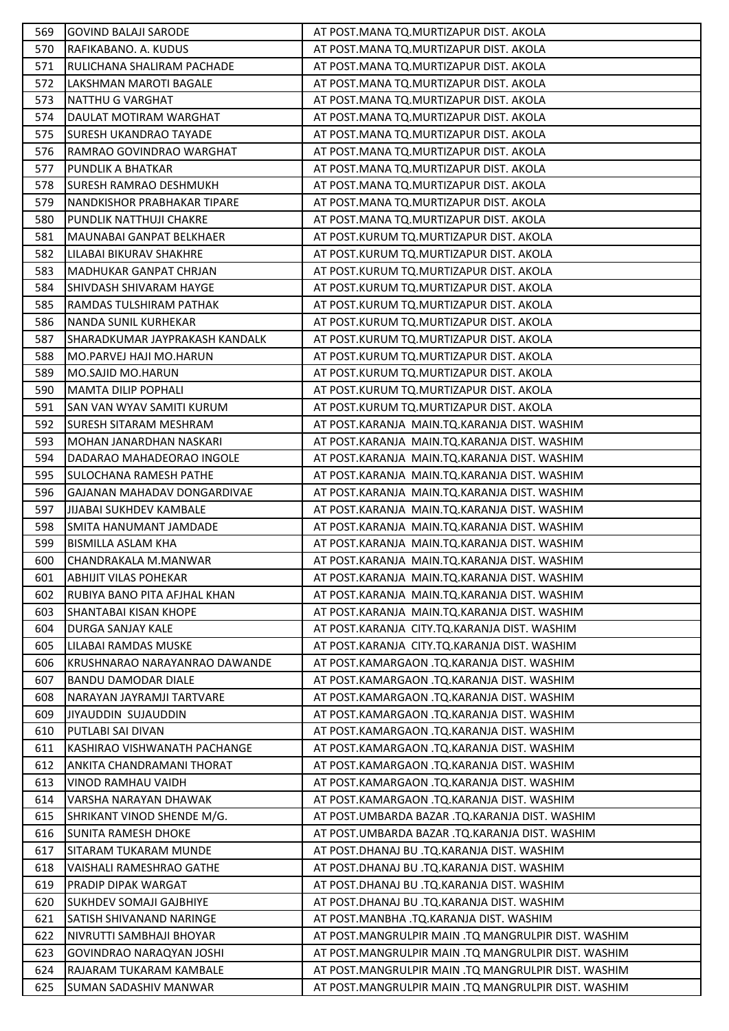| 569        | <b>GOVIND BALAJI SARODE</b>                                 | AT POST.MANA TQ.MURTIZAPUR DIST. AKOLA                                                |
|------------|-------------------------------------------------------------|---------------------------------------------------------------------------------------|
| 570        | RAFIKABANO. A. KUDUS                                        | AT POST.MANA TQ.MURTIZAPUR DIST. AKOLA                                                |
| 571        | RULICHANA SHALIRAM PACHADE                                  | AT POST.MANA TQ.MURTIZAPUR DIST. AKOLA                                                |
| 572        | LAKSHMAN MAROTI BAGALE                                      | AT POST.MANA TQ.MURTIZAPUR DIST. AKOLA                                                |
| 573        | <b>NATTHU G VARGHAT</b>                                     | AT POST.MANA TQ.MURTIZAPUR DIST. AKOLA                                                |
| 574        | DAULAT MOTIRAM WARGHAT                                      | AT POST.MANA TQ.MURTIZAPUR DIST. AKOLA                                                |
| 575        | ISURESH UKANDRAO TAYADE                                     | AT POST.MANA TQ.MURTIZAPUR DIST. AKOLA                                                |
| 576        | RAMRAO GOVINDRAO WARGHAT                                    | AT POST. MANA TQ. MURTIZAPUR DIST. AKOLA                                              |
| 577        | PUNDLIK A BHATKAR                                           | AT POST.MANA TQ.MURTIZAPUR DIST. AKOLA                                                |
| 578        | <b>SURESH RAMRAO DESHMUKH</b>                               | AT POST.MANA TQ.MURTIZAPUR DIST. AKOLA                                                |
| 579        | NANDKISHOR PRABHAKAR TIPARE                                 | AT POST.MANA TQ.MURTIZAPUR DIST. AKOLA                                                |
| 580        | PUNDLIK NATTHUJI CHAKRE                                     | AT POST.MANA TQ.MURTIZAPUR DIST. AKOLA                                                |
| 581        | MAUNABAI GANPAT BELKHAER                                    | AT POST.KURUM TQ.MURTIZAPUR DIST. AKOLA                                               |
| 582        | LILABAI BIKURAV SHAKHRE                                     | AT POST.KURUM TQ.MURTIZAPUR DIST. AKOLA                                               |
| 583        | MADHUKAR GANPAT CHRJAN                                      | AT POST.KURUM TQ.MURTIZAPUR DIST. AKOLA                                               |
| 584        | <b>SHIVDASH SHIVARAM HAYGE</b>                              | AT POST.KURUM TQ.MURTIZAPUR DIST. AKOLA                                               |
| 585        | RAMDAS TULSHIRAM PATHAK                                     | AT POST.KURUM TQ.MURTIZAPUR DIST. AKOLA                                               |
| 586        | NANDA SUNIL KURHEKAR                                        | AT POST.KURUM TQ.MURTIZAPUR DIST. AKOLA                                               |
| 587        | <b>SHARADKUMAR JAYPRAKASH KANDALK</b>                       | AT POST.KURUM TQ.MURTIZAPUR DIST. AKOLA                                               |
| 588        | MO.PARVEJ HAJI MO.HARUN                                     | AT POST.KURUM TQ.MURTIZAPUR DIST. AKOLA                                               |
| 589        | MO.SAJID MO.HARUN                                           | AT POST.KURUM TQ.MURTIZAPUR DIST. AKOLA                                               |
| 590        | MAMTA DILIP POPHALI                                         | AT POST.KURUM TQ.MURTIZAPUR DIST. AKOLA                                               |
| 591        | <b>SAN VAN WYAV SAMITI KURUM</b>                            | AT POST.KURUM TQ.MURTIZAPUR DIST. AKOLA                                               |
| 592        | <b>SURESH SITARAM MESHRAM</b>                               | AT POST.KARANJA MAIN.TQ.KARANJA DIST. WASHIM                                          |
| 593        | IMOHAN JANARDHAN NASKARI                                    | AT POST.KARANJA MAIN.TQ.KARANJA DIST. WASHIM                                          |
| 594        | DADARAO MAHADEORAO INGOLE                                   | AT POST.KARANJA MAIN.TQ.KARANJA DIST. WASHIM                                          |
| 595        | <b>SULOCHANA RAMESH PATHE</b>                               | AT POST.KARANJA MAIN.TQ.KARANJA DIST. WASHIM                                          |
| 596        | GAJANAN MAHADAV DONGARDIVAE                                 | AT POST.KARANJA MAIN.TQ.KARANJA DIST. WASHIM                                          |
| 597        | JIJABAI SUKHDEV KAMBALE                                     | AT POST.KARANJA MAIN.TQ.KARANJA DIST. WASHIM                                          |
| 598        | SMITA HANUMANT JAMDADE                                      | AT POST.KARANJA MAIN.TQ.KARANJA DIST. WASHIM                                          |
| 599        | <b>BISMILLA ASLAM KHA</b>                                   | AT POST.KARANJA MAIN.TQ.KARANJA DIST. WASHIM                                          |
| 600        | CHANDRAKALA M.MANWAR                                        | AT POST.KARANJA MAIN.TQ.KARANJA DIST. WASHIM                                          |
| 601        | <b>ABHIJIT VILAS POHEKAR</b>                                | AT POST.KARANJA MAIN.TQ.KARANJA DIST. WASHIM                                          |
| 602        | RUBIYA BANO PITA AFJHAL KHAN                                | AT POST.KARANJA MAIN.TQ.KARANJA DIST. WASHIM                                          |
| 603        | <b>SHANTABAI KISAN KHOPE</b>                                | AT POST.KARANJA MAIN.TQ.KARANJA DIST. WASHIM                                          |
| 604        | <b>DURGA SANJAY KALE</b>                                    | AT POST.KARANJA CITY.TQ.KARANJA DIST. WASHIM                                          |
| 605        | LILABAI RAMDAS MUSKE                                        | AT POST.KARANJA CITY.TQ.KARANJA DIST. WASHIM                                          |
| 606        | IKRUSHNARAO NARAYANRAO DAWANDE                              | AT POST.KAMARGAON .TQ.KARANJA DIST. WASHIM                                            |
| 607        | <b>BANDU DAMODAR DIALE</b>                                  | AT POST.KAMARGAON .TQ.KARANJA DIST. WASHIM                                            |
| 608        | NARAYAN JAYRAMJI TARTVARE                                   | AT POST.KAMARGAON .TQ.KARANJA DIST. WASHIM                                            |
| 609        | <b>JIYAUDDIN SUJAUDDIN</b>                                  | AT POST.KAMARGAON .TQ.KARANJA DIST. WASHIM                                            |
| 610        | PUTLABI SAI DIVAN                                           | AT POST.KAMARGAON .TQ.KARANJA DIST. WASHIM                                            |
| 611        | IKASHIRAO VISHWANATH PACHANGE                               | AT POST.KAMARGAON .TQ.KARANJA DIST. WASHIM                                            |
| 612        | ANKITA CHANDRAMANI THORAT                                   | AT POST.KAMARGAON .TQ.KARANJA DIST. WASHIM                                            |
| 613        | VINOD RAMHAU VAIDH                                          | AT POST.KAMARGAON .TQ.KARANJA DIST. WASHIM                                            |
| 614        | VARSHA NARAYAN DHAWAK                                       | AT POST.KAMARGAON .TQ.KARANJA DIST. WASHIM                                            |
| 615        | SHRIKANT VINOD SHENDE M/G.                                  | AT POST.UMBARDA BAZAR .TQ.KARANJA DIST. WASHIM                                        |
| 616        | <b>SUNITA RAMESH DHOKE</b>                                  | AT POST.UMBARDA BAZAR .TQ.KARANJA DIST. WASHIM                                        |
| 617        | SITARAM TUKARAM MUNDE                                       | AT POST.DHANAJ BU .TQ.KARANJA DIST. WASHIM                                            |
| 618<br>619 | VAISHALI RAMESHRAO GATHE<br><b>PRADIP DIPAK WARGAT</b>      | AT POST.DHANAJ BU .TQ.KARANJA DIST. WASHIM                                            |
|            |                                                             | AT POST.DHANAJ BU .TQ.KARANJA DIST. WASHIM                                            |
| 620<br>621 | <b>SUKHDEV SOMAJI GAJBHIYE</b><br>ISATISH SHIVANAND NARINGE | AT POST.DHANAJ BU .TQ.KARANJA DIST. WASHIM<br>AT POST.MANBHA .TQ.KARANJA DIST. WASHIM |
| 622        | INIVRUTTI SAMBHAJI BHOYAR                                   | AT POST.MANGRULPIR MAIN .TQ MANGRULPIR DIST. WASHIM                                   |
| 623        | GOVINDRAO NARAQYAN JOSHI                                    | AT POST.MANGRULPIR MAIN .TQ MANGRULPIR DIST. WASHIM                                   |
| 624        | RAJARAM TUKARAM KAMBALE                                     | AT POST.MANGRULPIR MAIN .TQ MANGRULPIR DIST. WASHIM                                   |
| 625        | <b>SUMAN SADASHIV MANWAR</b>                                | AT POST.MANGRULPIR MAIN .TQ MANGRULPIR DIST. WASHIM                                   |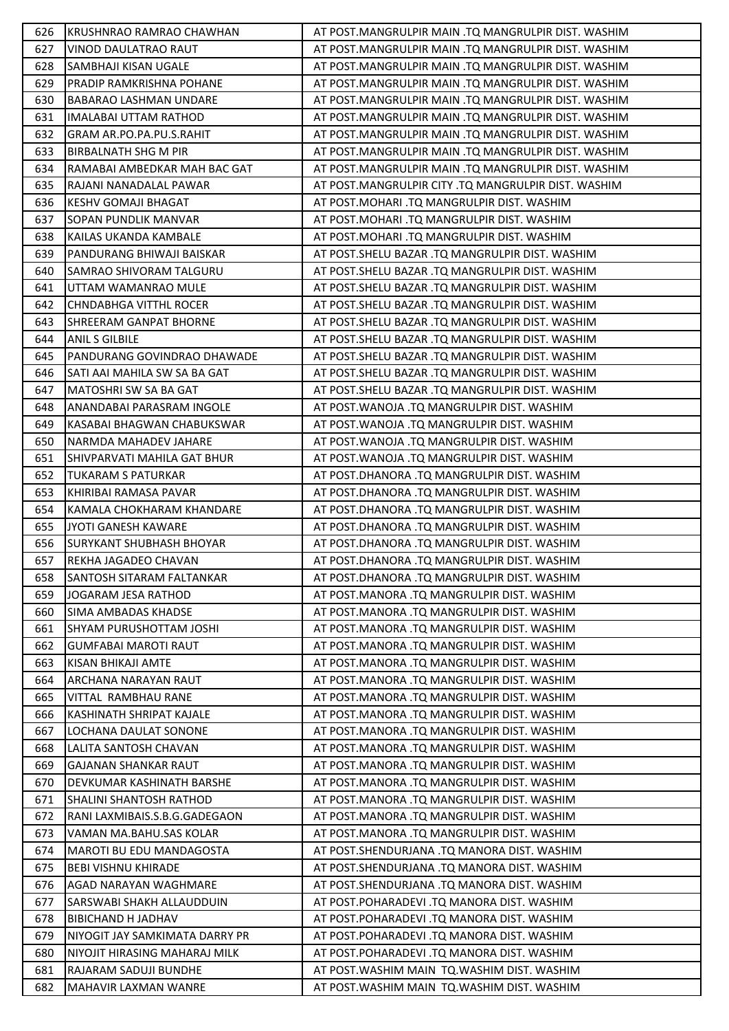| 626 | KRUSHNRAO RAMRAO CHAWHAN         | AT POST.MANGRULPIR MAIN .TQ MANGRULPIR DIST. WASHIM |
|-----|----------------------------------|-----------------------------------------------------|
| 627 | <b>VINOD DAULATRAO RAUT</b>      | AT POST.MANGRULPIR MAIN .TQ MANGRULPIR DIST. WASHIM |
| 628 | SAMBHAJI KISAN UGALE             | AT POST.MANGRULPIR MAIN .TQ MANGRULPIR DIST. WASHIM |
| 629 | <b>PRADIP RAMKRISHNA POHANE</b>  | AT POST.MANGRULPIR MAIN .TQ MANGRULPIR DIST. WASHIM |
| 630 | <b>BABARAO LASHMAN UNDARE</b>    | AT POST.MANGRULPIR MAIN .TQ MANGRULPIR DIST. WASHIM |
| 631 | IIMALABAI UTTAM RATHOD           | AT POST.MANGRULPIR MAIN .TQ MANGRULPIR DIST. WASHIM |
| 632 | GRAM AR.PO.PA.PU.S.RAHIT         | AT POST.MANGRULPIR MAIN .TQ MANGRULPIR DIST. WASHIM |
| 633 | BIRBALNATH SHG M PIR             | AT POST.MANGRULPIR MAIN .TQ MANGRULPIR DIST. WASHIM |
| 634 | RAMABAI AMBEDKAR MAH BAC GAT     | AT POST.MANGRULPIR MAIN .TQ MANGRULPIR DIST. WASHIM |
| 635 | RAJANI NANADALAL PAWAR           | AT POST.MANGRULPIR CITY .TQ MANGRULPIR DIST. WASHIM |
| 636 | <b>KESHV GOMAJI BHAGAT</b>       | AT POST.MOHARI .TQ MANGRULPIR DIST. WASHIM          |
| 637 | <b>SOPAN PUNDLIK MANVAR</b>      | AT POST.MOHARI .TQ MANGRULPIR DIST. WASHIM          |
| 638 | KAILAS UKANDA KAMBALE            | AT POST.MOHARI .TQ MANGRULPIR DIST. WASHIM          |
| 639 | PANDURANG BHIWAJI BAISKAR        | AT POST.SHELU BAZAR .TQ MANGRULPIR DIST. WASHIM     |
| 640 | SAMRAO SHIVORAM TALGURU          | AT POST. SHELU BAZAR . TQ MANGRULPIR DIST. WASHIM   |
| 641 | UTTAM WAMANRAO MULE              | AT POST.SHELU BAZAR .TQ MANGRULPIR DIST. WASHIM     |
| 642 | <b>I</b> CHNDABHGA VITTHL ROCER  | AT POST. SHELU BAZAR . TQ MANGRULPIR DIST. WASHIM   |
| 643 | <b>SHREERAM GANPAT BHORNE</b>    | AT POST.SHELU BAZAR .TQ MANGRULPIR DIST. WASHIM     |
| 644 | <b>ANIL S GILBILE</b>            | AT POST.SHELU BAZAR .TQ MANGRULPIR DIST. WASHIM     |
| 645 | PANDURANG GOVINDRAO DHAWADE      | AT POST.SHELU BAZAR .TQ MANGRULPIR DIST. WASHIM     |
| 646 | SATI AAI MAHILA SW SA BA GAT     | AT POST.SHELU BAZAR .TQ MANGRULPIR DIST. WASHIM     |
| 647 | MATOSHRI SW SA BA GAT            | AT POST.SHELU BAZAR .TQ MANGRULPIR DIST. WASHIM     |
| 648 | ANANDABAI PARASRAM INGOLE        | AT POST. WANOJA .TQ MANGRULPIR DIST. WASHIM         |
| 649 | KASABAI BHAGWAN CHABUKSWAR       | AT POST. WANOJA .TQ MANGRULPIR DIST. WASHIM         |
| 650 | NARMDA MAHADEV JAHARE            | AT POST. WANOJA .TQ MANGRULPIR DIST. WASHIM         |
| 651 | ISHIVPARVATI MAHILA GAT BHUR     | AT POST.WANOJA .TQ MANGRULPIR DIST. WASHIM          |
| 652 | <b>TUKARAM S PATURKAR</b>        | AT POST.DHANORA .TQ MANGRULPIR DIST. WASHIM         |
| 653 | KHIRIBAI RAMASA PAVAR            | AT POST.DHANORA .TQ MANGRULPIR DIST. WASHIM         |
| 654 | KAMALA CHOKHARAM KHANDARE        | AT POST.DHANORA .TQ MANGRULPIR DIST. WASHIM         |
| 655 | JYOTI GANESH KAWARE              | AT POST.DHANORA .TQ MANGRULPIR DIST. WASHIM         |
| 656 | <b>SURYKANT SHUBHASH BHOYAR</b>  | AT POST.DHANORA .TQ MANGRULPIR DIST. WASHIM         |
| 657 | REKHA JAGADEO CHAVAN             | AT POST.DHANORA .TQ MANGRULPIR DIST. WASHIM         |
| 658 | <b>SANTOSH SITARAM FALTANKAR</b> | AT POST.DHANORA .TQ MANGRULPIR DIST. WASHIM         |
| 659 | JOGARAM JESA RATHOD              | AT POST.MANORA .TQ MANGRULPIR DIST. WASHIM          |
| 660 | <b>SIMA AMBADAS KHADSE</b>       | AT POST.MANORA .TQ MANGRULPIR DIST. WASHIM          |
| 661 | <b>SHYAM PURUSHOTTAM JOSHI</b>   | AT POST.MANORA .TQ MANGRULPIR DIST. WASHIM          |
| 662 | <b>I</b> GUMFABAI MAROTI RAUT    | AT POST.MANORA .TQ MANGRULPIR DIST. WASHIM          |
| 663 | KISAN BHIKAJI AMTE               | AT POST.MANORA .TQ MANGRULPIR DIST. WASHIM          |
| 664 | ARCHANA NARAYAN RAUT             | AT POST.MANORA .TQ MANGRULPIR DIST. WASHIM          |
| 665 | VITTAL RAMBHAU RANE              | AT POST.MANORA .TQ MANGRULPIR DIST. WASHIM          |
| 666 | KASHINATH SHRIPAT KAJALE         | AT POST.MANORA .TQ MANGRULPIR DIST. WASHIM          |
| 667 | LOCHANA DAULAT SONONE            | AT POST.MANORA .TQ MANGRULPIR DIST. WASHIM          |
| 668 | LALITA SANTOSH CHAVAN            | AT POST.MANORA .TQ MANGRULPIR DIST. WASHIM          |
| 669 | <b>GAJANAN SHANKAR RAUT</b>      | AT POST.MANORA .TQ MANGRULPIR DIST. WASHIM          |
| 670 | IDEVKUMAR KASHINATH BARSHE       | AT POST.MANORA .TQ MANGRULPIR DIST. WASHIM          |
| 671 | <b>SHALINI SHANTOSH RATHOD</b>   | AT POST.MANORA .TQ MANGRULPIR DIST. WASHIM          |
| 672 | RANI LAXMIBAIS.S.B.G.GADEGAON    | AT POST.MANORA .TQ MANGRULPIR DIST. WASHIM          |
| 673 | VAMAN MA.BAHU.SAS KOLAR          | AT POST.MANORA .TQ MANGRULPIR DIST. WASHIM          |
| 674 | MAROTI BU EDU MANDAGOSTA         | AT POST.SHENDURJANA .TQ MANORA DIST. WASHIM         |
| 675 | <b>BEBI VISHNU KHIRADE</b>       | AT POST.SHENDURJANA .TQ MANORA DIST. WASHIM         |
| 676 | AGAD NARAYAN WAGHMARE            | AT POST.SHENDURJANA .TQ MANORA DIST. WASHIM         |
| 677 | SARSWABI SHAKH ALLAUDDUIN        | AT POST.POHARADEVI .TQ MANORA DIST. WASHIM          |
| 678 | <b>BIBICHAND H JADHAV</b>        | AT POST.POHARADEVI .TQ MANORA DIST. WASHIM          |
| 679 | INIYOGIT JAY SAMKIMATA DARRY PR  | AT POST.POHARADEVI .TQ MANORA DIST. WASHIM          |
| 680 | NIYOJIT HIRASING MAHARAJ MILK    | AT POST.POHARADEVI .TQ MANORA DIST. WASHIM          |
| 681 | RAJARAM SADUJI BUNDHE            | AT POST. WASHIM MAIN TO. WASHIM DIST. WASHIM        |
| 682 | MAHAVIR LAXMAN WANRE             | AT POST. WASHIM MAIN TQ. WASHIM DIST. WASHIM        |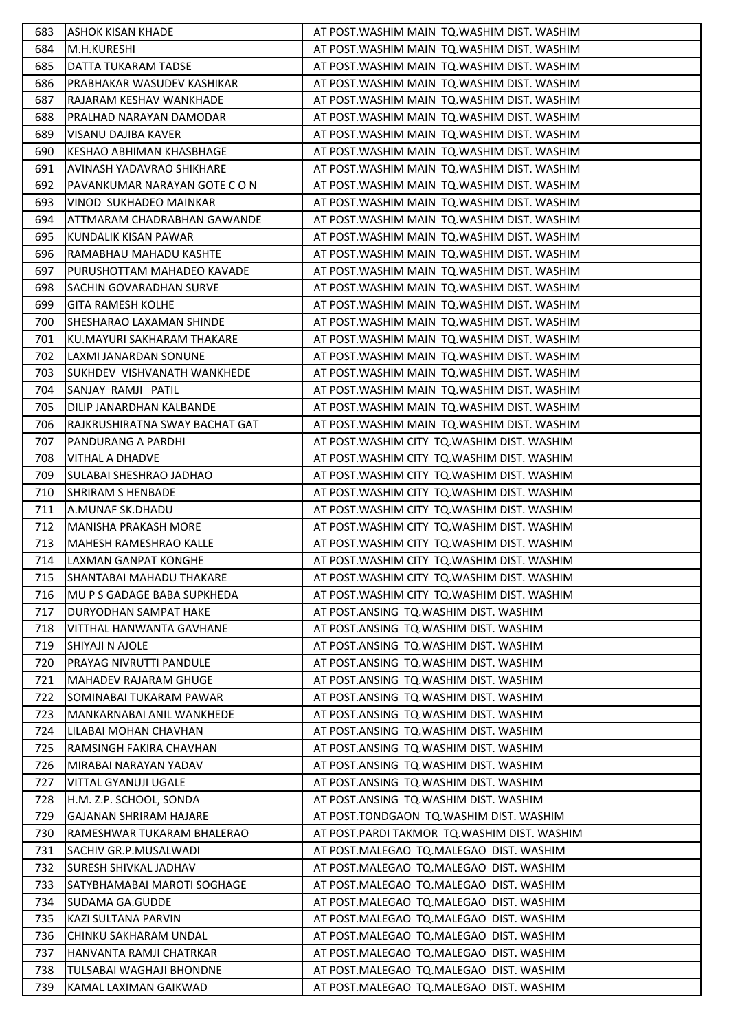| 683        | <b>ASHOK KISAN KHADE</b>                         | AT POST. WASHIM MAIN TO. WASHIM DIST. WASHIM                                   |
|------------|--------------------------------------------------|--------------------------------------------------------------------------------|
| 684        | M.H.KURESHI                                      | AT POST. WASHIM MAIN TQ. WASHIM DIST. WASHIM                                   |
| 685        | DATTA TUKARAM TADSE                              | AT POST. WASHIM MAIN TO. WASHIM DIST. WASHIM                                   |
| 686        | PRABHAKAR WASUDEV KASHIKAR                       | AT POST. WASHIM MAIN TO. WASHIM DIST. WASHIM                                   |
| 687        | RAJARAM KESHAV WANKHADE                          | AT POST. WASHIM MAIN TQ. WASHIM DIST. WASHIM                                   |
| 688        | PRALHAD NARAYAN DAMODAR                          | AT POST. WASHIM MAIN TQ. WASHIM DIST. WASHIM                                   |
| 689        | VISANU DAJIBA KAVER                              | AT POST. WASHIM MAIN TQ. WASHIM DIST. WASHIM                                   |
| 690        | <b>IKESHAO ABHIMAN KHASBHAGE</b>                 | AT POST. WASHIM MAIN TQ. WASHIM DIST. WASHIM                                   |
| 691        | <b>AVINASH YADAVRAO SHIKHARE</b>                 | AT POST. WASHIM MAIN TO. WASHIM DIST. WASHIM                                   |
| 692        | PAVANKUMAR NARAYAN GOTE C O N                    | AT POST. WASHIM MAIN TQ. WASHIM DIST. WASHIM                                   |
| 693        | VINOD SUKHADEO MAINKAR                           | AT POST. WASHIM MAIN TQ. WASHIM DIST. WASHIM                                   |
| 694        | ATTMARAM CHADRABHAN GAWANDE                      | AT POST. WASHIM MAIN TQ. WASHIM DIST. WASHIM                                   |
| 695        | KUNDALIK KISAN PAWAR                             | AT POST. WASHIM MAIN TQ. WASHIM DIST. WASHIM                                   |
| 696        | RAMABHAU MAHADU KASHTE                           | AT POST. WASHIM MAIN TQ. WASHIM DIST. WASHIM                                   |
| 697        | PURUSHOTTAM MAHADEO KAVADE                       | AT POST. WASHIM MAIN TQ. WASHIM DIST. WASHIM                                   |
| 698        | <b>SACHIN GOVARADHAN SURVE</b>                   | AT POST. WASHIM MAIN TQ. WASHIM DIST. WASHIM                                   |
| 699        | <b>GITA RAMESH KOLHE</b>                         | AT POST. WASHIM MAIN TO. WASHIM DIST. WASHIM                                   |
| 700        | <b>SHESHARAO LAXAMAN SHINDE</b>                  | AT POST. WASHIM MAIN TO. WASHIM DIST. WASHIM                                   |
| 701        | İKU.MAYURI SAKHARAM THAKARE                      | AT POST. WASHIM MAIN TO. WASHIM DIST. WASHIM                                   |
| 702        | LAXMI JANARDAN SONUNE                            | AT POST. WASHIM MAIN TO. WASHIM DIST. WASHIM                                   |
| 703        | SUKHDEV VISHVANATH WANKHEDE                      | AT POST. WASHIM MAIN TQ. WASHIM DIST. WASHIM                                   |
| 704        | SANJAY RAMJI PATIL                               | AT POST. WASHIM MAIN TQ. WASHIM DIST. WASHIM                                   |
| 705        | DILIP JANARDHAN KALBANDE                         | AT POST. WASHIM MAIN TO. WASHIM DIST. WASHIM                                   |
| 706        | RAJKRUSHIRATNA SWAY BACHAT GAT                   | AT POST. WASHIM MAIN TO. WASHIM DIST. WASHIM                                   |
| 707        | <b>PANDURANG A PARDHI</b>                        | AT POST. WASHIM CITY TO. WASHIM DIST. WASHIM                                   |
| 708        | <b>VITHAL A DHADVE</b>                           | AT POST. WASHIM CITY TO. WASHIM DIST. WASHIM                                   |
| 709        | SULABAI SHESHRAO JADHAO                          | AT POST. WASHIM CITY TQ. WASHIM DIST. WASHIM                                   |
| 710        | SHRIRAM S HENBADE                                | AT POST. WASHIM CITY TQ. WASHIM DIST. WASHIM                                   |
| 711        | A.MUNAF SK.DHADU                                 | AT POST. WASHIM CITY TO. WASHIM DIST. WASHIM                                   |
| 712        | MANISHA PRAKASH MORE                             | AT POST. WASHIM CITY TQ. WASHIM DIST. WASHIM                                   |
| 713        | MAHESH RAMESHRAO KALLE                           | AT POST. WASHIM CITY TQ. WASHIM DIST. WASHIM                                   |
| 714        | LAXMAN GANPAT KONGHE                             | AT POST. WASHIM CITY TO. WASHIM DIST. WASHIM                                   |
| 715        | <b>SHANTABAI MAHADU THAKARE</b>                  | AT POST. WASHIM CITY TQ. WASHIM DIST. WASHIM                                   |
| 716        | <b>MU P S GADAGE BABA SUPKHEDA</b>               | AT POST. WASHIM CITY TO. WASHIM DIST. WASHIM                                   |
| 717        | <b>DURYODHAN SAMPAT HAKE</b>                     | AT POST.ANSING TQ.WASHIM DIST. WASHIM                                          |
| 718        | VITTHAL HANWANTA GAVHANE                         | AT POST.ANSING TQ.WASHIM DIST. WASHIM                                          |
| 719        | SHIYAJI N AJOLE                                  | AT POST.ANSING TQ.WASHIM DIST. WASHIM                                          |
| 720        | <b>PRAYAG NIVRUTTI PANDULE</b>                   | AT POST.ANSING TQ.WASHIM DIST. WASHIM                                          |
| 721        | MAHADEV RAJARAM GHUGE                            | AT POST.ANSING TQ.WASHIM DIST. WASHIM                                          |
| 722        | <b>SOMINABAI TUKARAM PAWAR</b>                   | AT POST.ANSING TQ.WASHIM DIST. WASHIM                                          |
| 723        | MANKARNABAI ANIL WANKHEDE                        | AT POST.ANSING TQ.WASHIM DIST. WASHIM                                          |
| 724<br>725 | LILABAI MOHAN CHAVHAN<br>RAMSINGH FAKIRA CHAVHAN | AT POST.ANSING TQ.WASHIM DIST. WASHIM<br>AT POST.ANSING TQ.WASHIM DIST. WASHIM |
| 726        | MIRABAI NARAYAN YADAV                            | AT POST.ANSING TQ.WASHIM DIST. WASHIM                                          |
| 727        | VITTAL GYANUJI UGALE                             | AT POST.ANSING TQ.WASHIM DIST. WASHIM                                          |
| 728        | H.M. Z.P. SCHOOL, SONDA                          | AT POST.ANSING TQ.WASHIM DIST. WASHIM                                          |
| 729        | GAJANAN SHRIRAM HAJARE                           | AT POST.TONDGAON TQ.WASHIM DIST. WASHIM                                        |
| 730        | RAMESHWAR TUKARAM BHALERAO                       | AT POST.PARDI TAKMOR TQ.WASHIM DIST. WASHIM                                    |
| 731        | SACHIV GR.P.MUSALWADI                            | AT POST.MALEGAO TQ.MALEGAO DIST. WASHIM                                        |
| 732        | <b>SURESH SHIVKAL JADHAV</b>                     | AT POST.MALEGAO TQ.MALEGAO DIST. WASHIM                                        |
| 733        | ISATYBHAMABAI MAROTI SOGHAGE                     | AT POST.MALEGAO TQ.MALEGAO DIST. WASHIM                                        |
| 734        | <b>SUDAMA GA.GUDDE</b>                           | AT POST.MALEGAO TQ.MALEGAO DIST. WASHIM                                        |
| 735        | KAZI SULTANA PARVIN                              | AT POST.MALEGAO TQ.MALEGAO DIST. WASHIM                                        |
| 736        | <b> CHINKU SAKHARAM UNDAL</b>                    | AT POST.MALEGAO TQ.MALEGAO DIST. WASHIM                                        |
| 737        | HANVANTA RAMJI CHATRKAR                          | AT POST.MALEGAO TQ.MALEGAO DIST. WASHIM                                        |
| 738        | TULSABAI WAGHAJI BHONDNE                         | AT POST.MALEGAO TQ.MALEGAO DIST. WASHIM                                        |
| 739        | KAMAL LAXIMAN GAIKWAD                            | AT POST.MALEGAO TQ.MALEGAO DIST. WASHIM                                        |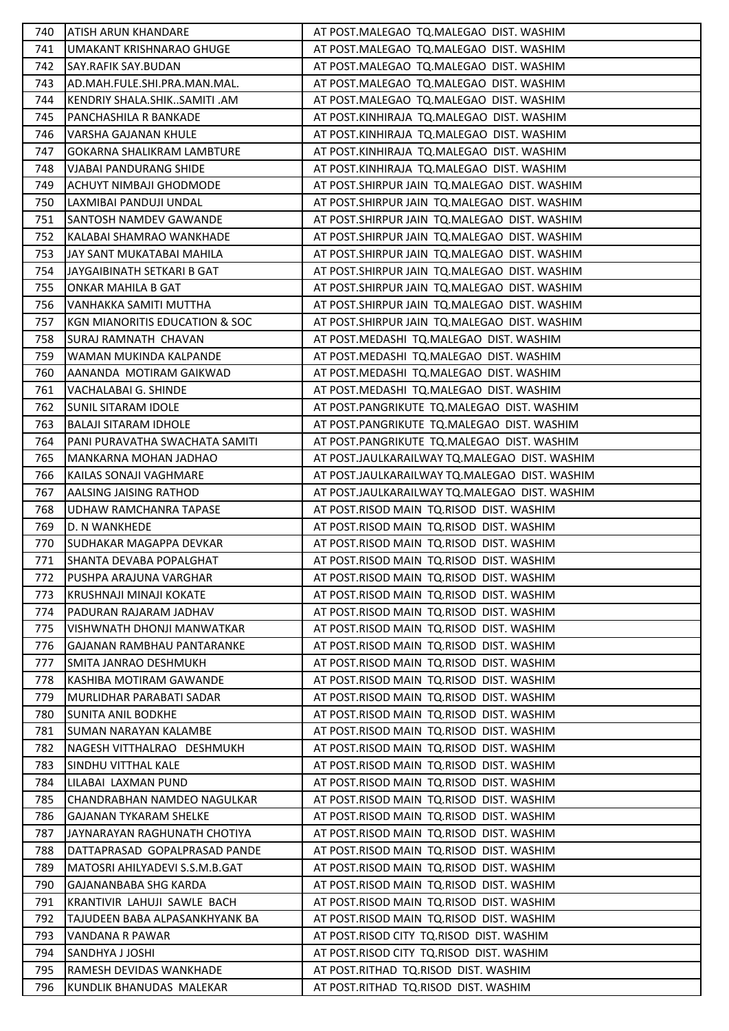| 740.       | <b>ATISH ARUN KHANDARE</b>                                | AT POST.MALEGAO TQ.MALEGAO DIST. WASHIM                                              |
|------------|-----------------------------------------------------------|--------------------------------------------------------------------------------------|
| 741        | UMAKANT KRISHNARAO GHUGE                                  | AT POST.MALEGAO TQ.MALEGAO DIST. WASHIM                                              |
| 742        | SAY.RAFIK SAY.BUDAN                                       | AT POST.MALEGAO TQ.MALEGAO DIST. WASHIM                                              |
| 743.       | AD.MAH.FULE.SHI.PRA.MAN.MAL.                              | AT POST.MALEGAO TQ.MALEGAO DIST. WASHIM                                              |
| 744        | KENDRIY SHALA.SHIKSAMITI .AM                              | AT POST.MALEGAO TQ.MALEGAO DIST. WASHIM                                              |
| 745        | PANCHASHILA R BANKADE                                     | AT POST.KINHIRAJA TQ.MALEGAO DIST. WASHIM                                            |
| 746        | VARSHA GAJANAN KHULE                                      | AT POST.KINHIRAJA TQ.MALEGAO DIST. WASHIM                                            |
| 747        | <b>I</b> GOKARNA SHALIKRAM LAMBTURE                       | AT POST.KINHIRAJA TQ.MALEGAO DIST. WASHIM                                            |
| 748        | <b>VJABAI PANDURANG SHIDE</b>                             | AT POST.KINHIRAJA TQ.MALEGAO DIST. WASHIM                                            |
| 749        | ACHUYT NIMBAJI GHODMODE                                   | AT POST.SHIRPUR JAIN TQ.MALEGAO DIST. WASHIM                                         |
| 750        | LAXMIBAI PANDUJI UNDAL                                    | AT POST.SHIRPUR JAIN TQ.MALEGAO DIST. WASHIM                                         |
| 751        | SANTOSH NAMDEV GAWANDE                                    | AT POST.SHIRPUR JAIN TQ.MALEGAO DIST. WASHIM                                         |
| 752        | KALABAI SHAMRAO WANKHADE                                  | AT POST.SHIRPUR JAIN TQ.MALEGAO DIST. WASHIM                                         |
| 753        | JAY SANT MUKATABAI MAHILA                                 | AT POST.SHIRPUR JAIN TQ.MALEGAO DIST. WASHIM                                         |
| 754        | JAYGAIBINATH SETKARI B GAT                                | AT POST.SHIRPUR JAIN TQ.MALEGAO DIST. WASHIM                                         |
| 755        | ONKAR MAHILA B GAT                                        | AT POST.SHIRPUR JAIN TQ.MALEGAO DIST. WASHIM                                         |
| 756        | VANHAKKA SAMITI MUTTHA                                    | AT POST.SHIRPUR JAIN TQ.MALEGAO DIST. WASHIM                                         |
| 757        | KGN MIANORITIS EDUCATION & SOC                            | AT POST.SHIRPUR JAIN TQ.MALEGAO DIST. WASHIM                                         |
| 758        | ISURAJ RAMNATH  CHAVAN                                    | AT POST.MEDASHI TQ.MALEGAO DIST. WASHIM                                              |
| 759        | WAMAN MUKINDA KALPANDE                                    | AT POST.MEDASHI TQ.MALEGAO DIST. WASHIM                                              |
| 760        | AANANDA MOTIRAM GAIKWAD                                   | AT POST.MEDASHI TQ.MALEGAO DIST. WASHIM                                              |
| 761        | VACHALABAI G. SHINDE                                      | AT POST.MEDASHI TQ.MALEGAO DIST. WASHIM                                              |
| 762        | <b>SUNIL SITARAM IDOLE</b>                                | AT POST.PANGRIKUTE TQ.MALEGAO DIST. WASHIM                                           |
| 763        | <b>BALAJI SITARAM IDHOLE</b>                              | AT POST.PANGRIKUTE TQ.MALEGAO DIST. WASHIM                                           |
| 764        | PANI PURAVATHA SWACHATA SAMITI                            | AT POST.PANGRIKUTE TQ.MALEGAO DIST. WASHIM                                           |
| 765        | MANKARNA MOHAN JADHAO                                     | AT POST.JAULKARAILWAY TQ.MALEGAO DIST. WASHIM                                        |
| 766        | KAILAS SONAJI VAGHMARE                                    | AT POST.JAULKARAILWAY TQ.MALEGAO DIST. WASHIM                                        |
| 767        | AALSING JAISING RATHOD                                    | AT POST.JAULKARAILWAY TQ.MALEGAO DIST. WASHIM                                        |
| 768        | UDHAW RAMCHANRA TAPASE                                    | AT POST.RISOD MAIN TQ.RISOD DIST. WASHIM                                             |
| 769        | D. N WANKHEDE                                             | AT POST.RISOD MAIN TQ.RISOD DIST. WASHIM                                             |
| 770        | SUDHAKAR MAGAPPA DEVKAR                                   | AT POST.RISOD MAIN TQ.RISOD DIST. WASHIM                                             |
| 771        | SHANTA DEVABA POPALGHAT                                   | AT POST.RISOD MAIN TQ.RISOD DIST. WASHIM                                             |
| 772.       | PUSHPA ARAJUNA VARGHAR                                    | AT POST.RISOD MAIN TQ.RISOD DIST. WASHIM                                             |
| 773        | IKRUSHNAJI MINAJI KOKATE                                  | AT POST.RISOD MAIN TO.RISOD DIST. WASHIM                                             |
| 774        | PADURAN RAJARAM JADHAV                                    | AT POST.RISOD MAIN TQ.RISOD DIST. WASHIM                                             |
| 775        | VISHWNATH DHONJI MANWATKAR                                | AT POST.RISOD MAIN TQ.RISOD DIST. WASHIM                                             |
| 776        | IGAJANAN RAMBHAU PANTARANKE                               | AT POST.RISOD MAIN TQ.RISOD DIST. WASHIM                                             |
| 777        | SMITA JANRAO DESHMUKH                                     | AT POST.RISOD MAIN TQ.RISOD DIST. WASHIM                                             |
| 778        | IKASHIBA MOTIRAM GAWANDE                                  | AT POST.RISOD MAIN TQ.RISOD DIST. WASHIM                                             |
| 779        | MURLIDHAR PARABATI SADAR                                  | AT POST.RISOD MAIN TQ.RISOD DIST. WASHIM                                             |
| 780<br>781 | <b>SUNITA ANIL BODKHE</b><br><b>SUMAN NARAYAN KALAMBE</b> | AT POST.RISOD MAIN TQ.RISOD DIST. WASHIM                                             |
| 782        | NAGESH VITTHALRAO DESHMUKH                                | AT POST.RISOD MAIN TQ.RISOD DIST. WASHIM<br>AT POST.RISOD MAIN TQ.RISOD DIST. WASHIM |
| 783        | SINDHU VITTHAL KALE                                       | AT POST.RISOD MAIN TQ.RISOD DIST. WASHIM                                             |
| 784        | LILABAI LAXMAN PUND                                       |                                                                                      |
| 785        | CHANDRABHAN NAMDEO NAGULKAR                               | AT POST.RISOD MAIN TQ.RISOD DIST. WASHIM<br>AT POST.RISOD MAIN TQ.RISOD DIST. WASHIM |
| 786        | GAJANAN TYKARAM SHELKE                                    | AT POST.RISOD MAIN TQ.RISOD DIST. WASHIM                                             |
| 787        | JAYNARAYAN RAGHUNATH CHOTIYA                              | AT POST.RISOD MAIN TQ.RISOD DIST. WASHIM                                             |
| 788        | DATTAPRASAD GOPALPRASAD PANDE                             | AT POST.RISOD MAIN TQ.RISOD DIST. WASHIM                                             |
| 789        | MATOSRI AHILYADEVI S.S.M.B.GAT                            | AT POST.RISOD MAIN TQ.RISOD DIST. WASHIM                                             |
| 790        | GAJANANBABA SHG KARDA                                     | AT POST.RISOD MAIN TQ.RISOD DIST. WASHIM                                             |
| 791        | KRANTIVIR LAHUJI SAWLE BACH                               | AT POST.RISOD MAIN TQ.RISOD DIST. WASHIM                                             |
| 792        | TAJUDEEN BABA ALPASANKHYANK BA                            | AT POST.RISOD MAIN TQ.RISOD DIST. WASHIM                                             |
| 793        | IVANDANA R PAWAR                                          | AT POST.RISOD CITY TQ.RISOD DIST. WASHIM                                             |
| 794        | <b>SANDHYA J JOSHI</b>                                    | AT POST.RISOD CITY TQ.RISOD DIST. WASHIM                                             |
| 795        | <b>RAMESH DEVIDAS WANKHADE</b>                            | AT POST.RITHAD TQ.RISOD DIST. WASHIM                                                 |
| 796        | KUNDLIK BHANUDAS MALEKAR                                  | AT POST.RITHAD TQ.RISOD DIST. WASHIM                                                 |